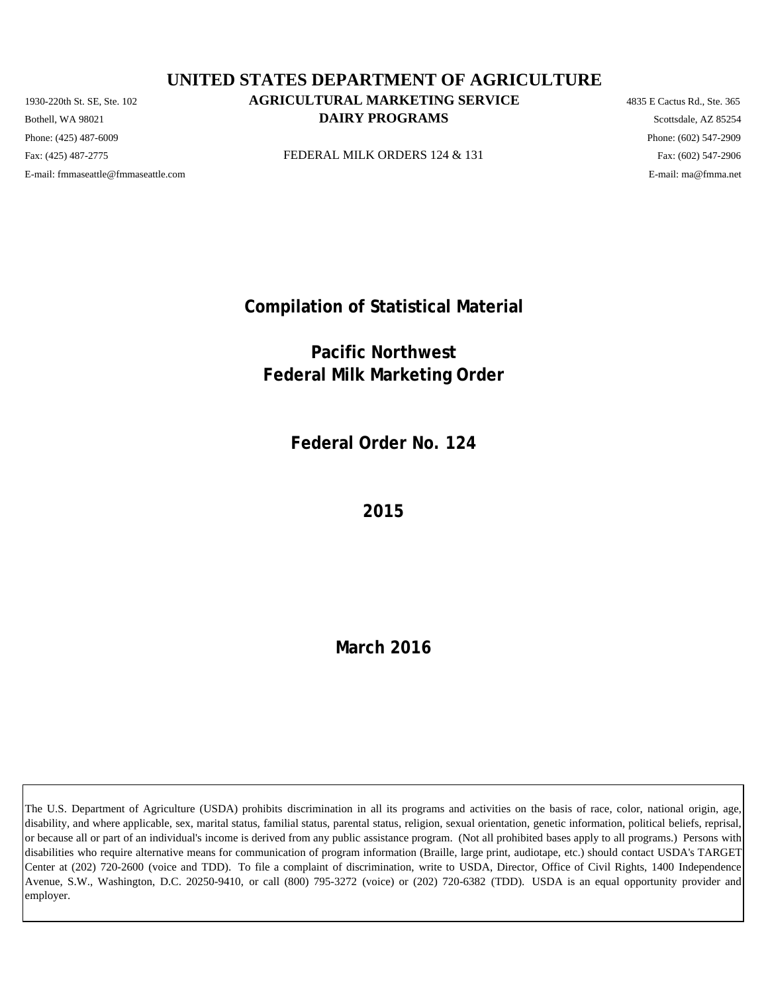Phone: (425) 487-6009 Phone: (602) 547-2909 E-mail: fmmaseattle@fmmaseattle.com E-mail: ma@fmma.net

## 1930-220th St. SE, Ste. 102 **AGRICULTURAL MARKETING SERVICE** 4835 E Cactus Rd., Ste. 365 **DAIRY PROGRAMS** Scottsdale, AZ 85254 **UNITED STATES DEPARTMENT OF AGRICULTURE**

Fax: (425) 487-2775 **FEDERAL MILK ORDERS 124 & 131** Fax: (425) 487-2775 Fax: (602) 547-2906

**Compilation of Statistical Material**

**Pacific Northwest Federal Milk Marketing Order**

**Federal Order No. 124**

**2015**

**March 2016**

The U.S. Department of Agriculture (USDA) prohibits discrimination in all its programs and activities on the basis of race, color, national origin, age, disability, and where applicable, sex, marital status, familial status, parental status, religion, sexual orientation, genetic information, political beliefs, reprisal, or because all or part of an individual's income is derived from any public assistance program. (Not all prohibited bases apply to all programs.) Persons with disabilities who require alternative means for communication of program information (Braille, large print, audiotape, etc.) should contact USDA's TARGET Center at (202) 720-2600 (voice and TDD). To file a complaint of discrimination, write to USDA, Director, Office of Civil Rights, 1400 Independence Avenue, S.W., Washington, D.C. 20250-9410, or call (800) 795-3272 (voice) or (202) 720-6382 (TDD). USDA is an equal opportunity provider and employer.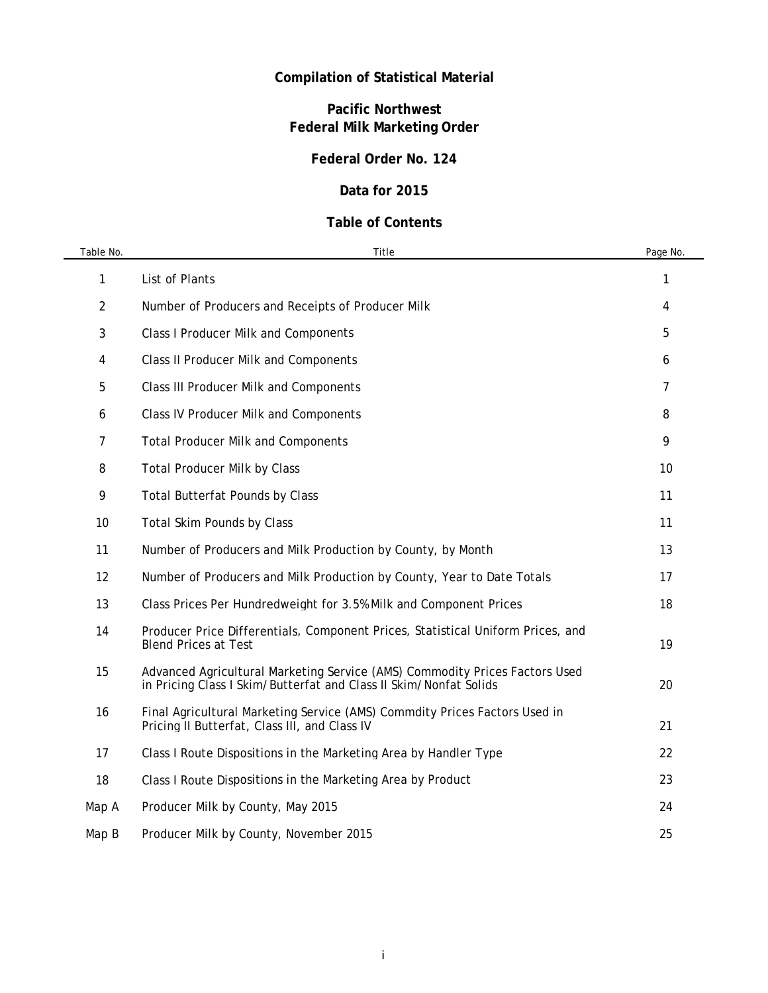# **Compilation of Statistical Material**

# **Pacific Northwest Federal Milk Marketing Order**

## **Federal Order No. 124**

## **Data for 2015**

## **Table of Contents**

| Table No. | Title                                                                                                                                            | Page No. |
|-----------|--------------------------------------------------------------------------------------------------------------------------------------------------|----------|
| 1         | List of Plants                                                                                                                                   | 1        |
| 2         | Number of Producers and Receipts of Producer Milk                                                                                                | 4        |
| 3         | <b>Class I Producer Milk and Components</b>                                                                                                      | 5        |
| 4         | <b>Class II Producer Milk and Components</b>                                                                                                     | 6        |
| 5         | Class III Producer Milk and Components                                                                                                           | 7        |
| 6         | <b>Class IV Producer Milk and Components</b>                                                                                                     | 8        |
| 7         | <b>Total Producer Milk and Components</b>                                                                                                        | 9        |
| 8         | <b>Total Producer Milk by Class</b>                                                                                                              | 10       |
| 9         | <b>Total Butterfat Pounds by Class</b>                                                                                                           | 11       |
| 10        | <b>Total Skim Pounds by Class</b>                                                                                                                | 11       |
| 11        | Number of Producers and Milk Production by County, by Month                                                                                      | 13       |
| 12        | Number of Producers and Milk Production by County, Year to Date Totals                                                                           | 17       |
| 13        | Class Prices Per Hundredweight for 3.5% Milk and Component Prices                                                                                | 18       |
| 14        | Producer Price Differentials, Component Prices, Statistical Uniform Prices, and<br><b>Blend Prices at Test</b>                                   | 19       |
| 15        | Advanced Agricultural Marketing Service (AMS) Commodity Prices Factors Used<br>in Pricing Class I Skim/Butterfat and Class II Skim/Nonfat Solids | 20       |
| 16        | Final Agricultural Marketing Service (AMS) Commdity Prices Factors Used in<br>Pricing II Butterfat, Class III, and Class IV                      | 21       |
| 17        | Class I Route Dispositions in the Marketing Area by Handler Type                                                                                 | 22       |
| 18        | Class I Route Dispositions in the Marketing Area by Product                                                                                      | 23       |
| Map A     | Producer Milk by County, May 2015                                                                                                                | 24       |
| Map B     | Producer Milk by County, November 2015                                                                                                           | 25       |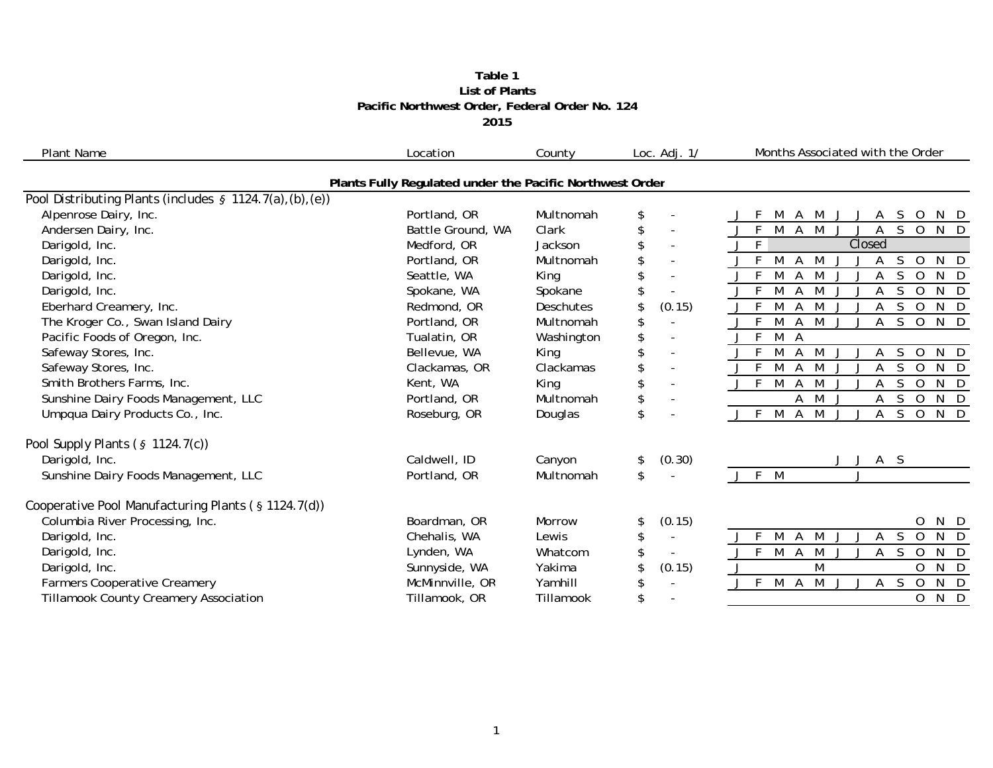#### **Table 1 2015 Pacific Northwest Order, Federal Order No. 124 List of Plants**

| <b>Plant Name</b>                                            | Location                                                 | County     | Loc. Adj. 1/             | Months Associated with the Order                                                     |
|--------------------------------------------------------------|----------------------------------------------------------|------------|--------------------------|--------------------------------------------------------------------------------------|
|                                                              | Plants Fully Regulated under the Pacific Northwest Order |            |                          |                                                                                      |
| Pool Distributing Plants (includes $\S$ 1124.7(a), (b), (e)) |                                                          |            |                          |                                                                                      |
| Alpenrose Dairy, Inc.                                        | Portland, OR                                             | Multnomah  | \$                       | 0<br>S                                                                               |
| Andersen Dairy, Inc.                                         | Battle Ground, WA                                        | Clark      | \$                       | $N$ D<br>$\Omega$                                                                    |
| Darigold, Inc.                                               | Medford, OR                                              | Jackson    | $\sim$                   | F<br>Closed                                                                          |
| Darigold, Inc.                                               | Portland, OR                                             | Multnomah  | \$                       | S<br>N D<br>M<br>$\overline{O}$<br>A<br>M<br>А                                       |
| Darigold, Inc.                                               | Seattle, WA                                              | King       |                          | F<br>N<br>M<br>M<br>S.<br>$\overline{O}$<br>D<br>Α                                   |
| Darigold, Inc.                                               | Spokane, WA                                              | Spokane    |                          | $\overline{N}$<br>E<br>$\mathbf 0$<br>$\mathsf{D}$<br>M                              |
| Eberhard Creamery, Inc.                                      | Redmond, OR                                              | Deschutes  | (0.15)<br>\$             | $\overline{0}$<br>N D<br>S<br>M<br>A<br>M                                            |
| The Kroger Co., Swan Island Dairy                            | Portland, OR                                             | Multnomah  | \$                       | $S$ O<br>$J$ F<br>M<br>$N$ D<br>M<br>$\mathsf{A}$<br>$\mathsf{A}$                    |
| Pacific Foods of Oregon, Inc.                                | Tualatin, OR                                             | Washington | \$                       | $\mathsf{F}$<br>$\overline{M}$<br>A                                                  |
| Safeway Stores, Inc.                                         | Bellevue, WA                                             | King       | $\overline{\phantom{a}}$ | N<br>M<br>M<br>S.<br>$\overline{O}$<br>A<br>D                                        |
| Safeway Stores, Inc.                                         | Clackamas, OR                                            | Clackamas  | $\sim$                   | N<br>D<br>S<br>$\Omega$<br>M<br>M                                                    |
| Smith Brothers Farms, Inc.                                   | Kent, WA                                                 | King       | \$<br>$\bar{a}$          | $\mathsf{N}$<br>J F<br>S<br>$\Omega$<br>M<br>A<br>M<br>D                             |
| Sunshine Dairy Foods Management, LLC                         | Portland, OR                                             | Multnomah  | \$                       | M<br><sub>S</sub><br>$\overline{0}$<br>N D<br>Α<br>Α                                 |
| Umpqua Dairy Products Co., Inc.                              | Roseburg, OR                                             | Douglas    | \$                       | N D<br>J F M<br>M<br>S.<br>$\overline{O}$<br>$\mathsf{A}$<br>$\mathsf{A}$            |
| Pool Supply Plants $(§ 1124.7(c))$                           |                                                          |            |                          |                                                                                      |
| Darigold, Inc.                                               | Caldwell, ID                                             | Canyon     | (0.30)<br>\$             | A S                                                                                  |
| Sunshine Dairy Foods Management, LLC                         | Portland, OR                                             | Multnomah  | \$                       | J F M                                                                                |
| Cooperative Pool Manufacturing Plants (§ 1124.7(d))          |                                                          |            |                          |                                                                                      |
| Columbia River Processing, Inc.                              | Boardman, OR                                             | Morrow     | (0.15)<br>\$             | $\overline{O}$<br>N D                                                                |
| Darigold, Inc.                                               | Chehalis, WA                                             | Lewis      | \$                       | S<br>$\overline{O}$<br>N D<br>-F<br>M<br>M<br>A<br>A                                 |
| Darigold, Inc.                                               | Lynden, WA                                               | Whatcom    | \$<br>$\sim$             | $\mathsf{F}$<br>M<br>M<br>$\overline{0}$<br>N D<br>$\mathsf{A}$<br>A<br><sub>S</sub> |
| Darigold, Inc.                                               | Sunnyside, WA                                            | Yakima     | (0.15)                   | M<br>$\overline{O}$<br>$\mathsf{N}$<br>D                                             |
| Farmers Cooperative Creamery                                 | McMinnville, OR                                          | Yamhill    | \$<br>$\sim$             | M<br>N D<br>F<br>S<br>$\overline{0}$<br>M<br>A<br>A                                  |
| Tillamook County Creamery Association                        | Tillamook, OR                                            | Tillamook  | \$                       | 0<br>N<br>D                                                                          |
|                                                              |                                                          |            |                          |                                                                                      |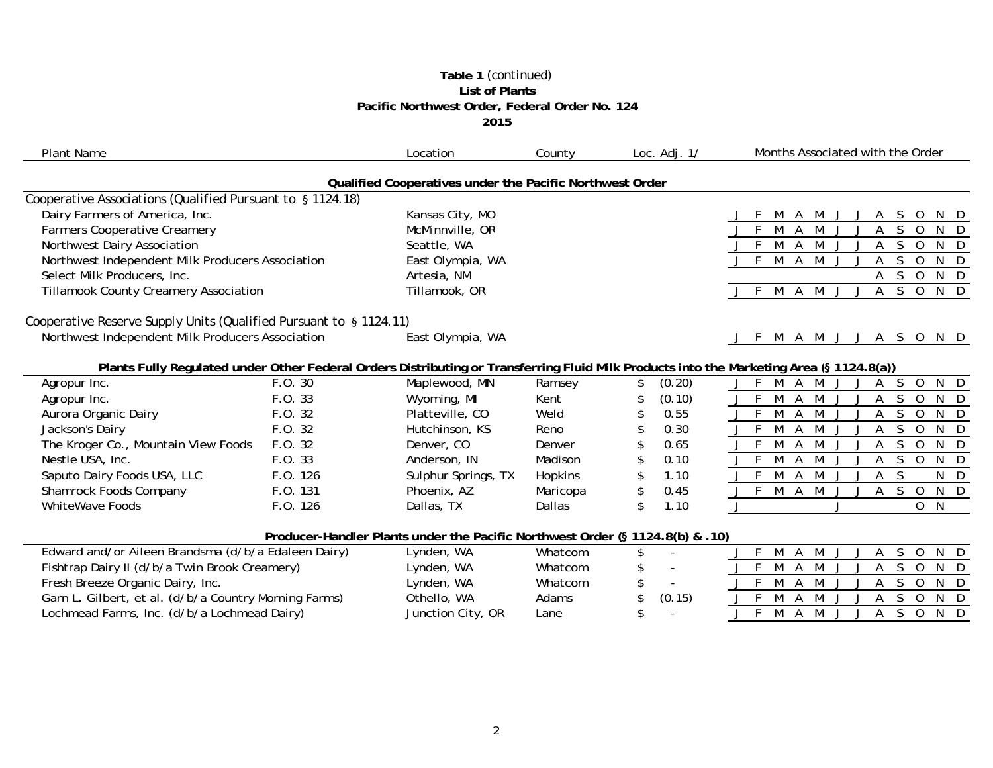#### **Table 1** *(continued)* **List of Plants Pacific Northwest Order, Federal Order No. 124 2015**

| <b>Plant Name</b>                                                  |          | Location                                                                      | County   | Loc. $Adj. 1/$       | Months Associated with the Order                                                                                                         |
|--------------------------------------------------------------------|----------|-------------------------------------------------------------------------------|----------|----------------------|------------------------------------------------------------------------------------------------------------------------------------------|
|                                                                    |          | Qualified Cooperatives under the Pacific Northwest Order                      |          |                      |                                                                                                                                          |
| Cooperative Associations (Qualified Pursuant to § 1124.18)         |          |                                                                               |          |                      |                                                                                                                                          |
| Dairy Farmers of America, Inc.                                     |          | Kansas City, MO                                                               |          |                      | S.<br>$\circ$<br>N D<br>M<br>M                                                                                                           |
| <b>Farmers Cooperative Creamery</b>                                |          | McMinnville, OR                                                               |          |                      | M<br><sub>S</sub><br>$\overline{0}$<br>N D<br>M<br>A<br>A                                                                                |
| Northwest Dairy Association                                        |          | Seattle, WA                                                                   |          |                      | M<br>M<br><sub>S</sub><br>$\overline{0}$<br>N<br>F<br>A<br>D<br>A                                                                        |
| Northwest Independent Milk Producers Association                   |          | East Olympia, WA                                                              |          |                      | M A<br>M<br>$N$ D<br>F<br><sub>S</sub><br>$\mathbf 0$                                                                                    |
| Select Milk Producers, Inc.                                        |          | Artesia, NM                                                                   |          |                      | S<br>$\overline{O}$<br>N D<br>A                                                                                                          |
| <b>Tillamook County Creamery Association</b>                       |          | Tillamook, OR                                                                 |          |                      | $\mathsf{S}$<br>$\overline{0}$<br>$N$ D<br>M<br>M<br>A<br>A                                                                              |
| Cooperative Reserve Supply Units (Qualified Pursuant to § 1124.11) |          |                                                                               |          |                      |                                                                                                                                          |
| Northwest Independent Milk Producers Association                   |          | East Olympia, WA                                                              |          |                      | A M J J A S O N D<br>M                                                                                                                   |
|                                                                    |          |                                                                               |          |                      | Plants Fully Regulated under Other Federal Orders Distributing or Transferring Fluid Milk Products into the Marketing Area (§ 1124.8(a)) |
| Agropur Inc.                                                       | F.0.30   | Maplewood, MN                                                                 | Ramsey   | (0.20)<br>\$.        | S.<br>$\overline{0}$<br>N D<br>M<br>M<br>A<br>А                                                                                          |
| Agropur Inc.                                                       | F.O. 33  | Wyoming, MI                                                                   | Kent     | (0.10)               | M<br>M<br>S<br>N D<br>A<br>$\Omega$                                                                                                      |
| Aurora Organic Dairy                                               | F.O. 32  | Platteville, CO                                                               | Weld     | 0.55                 | <sub>S</sub><br>$\overline{O}$<br>$J$ F<br>M<br>M<br>N D<br>A<br>A                                                                       |
| Jackson's Dairy                                                    | F.0.32   | Hutchinson, KS                                                                | Reno     | 0.30<br>\$           | M<br>$\mathsf{O}$<br>N<br>S<br>D<br>M<br>A<br>Α                                                                                          |
| The Kroger Co., Mountain View Foods                                | F.O. 32  | Denver, CO                                                                    | Denver   | 0.65<br>\$           | N<br>M<br>M<br>S<br>$\Omega$<br>A<br>- D                                                                                                 |
| Nestle USA, Inc.                                                   | F.O. 33  | Anderson, IN                                                                  | Madison  | \$<br>0.10           | $\mathbf 0$<br>N D<br>M<br>S<br>A<br>А                                                                                                   |
| Saputo Dairy Foods USA, LLC                                        | F.O. 126 | Sulphur Springs, TX                                                           | Hopkins  | \$<br>1.10           | M<br><sub>S</sub><br>$\mathsf{N}$<br>D<br>A<br>M<br>A                                                                                    |
| Shamrock Foods Company                                             | F.O. 131 | Phoenix, AZ                                                                   | Maricopa | \$<br>0.45           | M A M<br>N D<br>$J$ F<br>S.<br>$\overline{O}$<br>$\mathsf{A}$                                                                            |
| <b>WhiteWave Foods</b>                                             | F.O. 126 | Dallas, TX                                                                    | Dallas   | \$<br>1.10           | O N                                                                                                                                      |
|                                                                    |          | Producer-Handler Plants under the Pacific Northwest Order (§ 1124.8(b) & .10) |          |                      |                                                                                                                                          |
| Edward and/or Aileen Brandsma (d/b/a Edaleen Dairy)                |          | Lynden, WA                                                                    | Whatcom  | \$<br>$\overline{a}$ | M<br>M<br>S<br>$\overline{O}$<br>N D<br>F.<br>A<br>A                                                                                     |
| Fishtrap Dairy II (d/b/a Twin Brook Creamery)                      |          | Lynden, WA                                                                    | Whatcom  | \$                   | M<br>$\mathbf 0$<br>N<br>M<br><sub>S</sub><br>D<br>A                                                                                     |
| Fresh Breeze Organic Dairy, Inc.                                   |          | Lynden, WA                                                                    | Whatcom  | \$                   | M<br>A<br>M<br>S<br>$\overline{O}$<br>N D<br>А                                                                                           |
| Garn L. Gilbert, et al. (d/b/a Country Morning Farms)              |          | Othello, WA                                                                   | Adams    | \$<br>(0.15)         | <sub>S</sub><br>$\overline{0}$<br>N D<br>M<br>A<br>А                                                                                     |
| Lochmead Farms, Inc. (d/b/a Lochmead Dairy)                        |          | Junction City, OR                                                             | Lane     | \$                   | M<br><sub>S</sub><br>$\mathbf 0$<br>N<br>M<br>D.<br>A<br>А                                                                               |
|                                                                    |          |                                                                               |          |                      |                                                                                                                                          |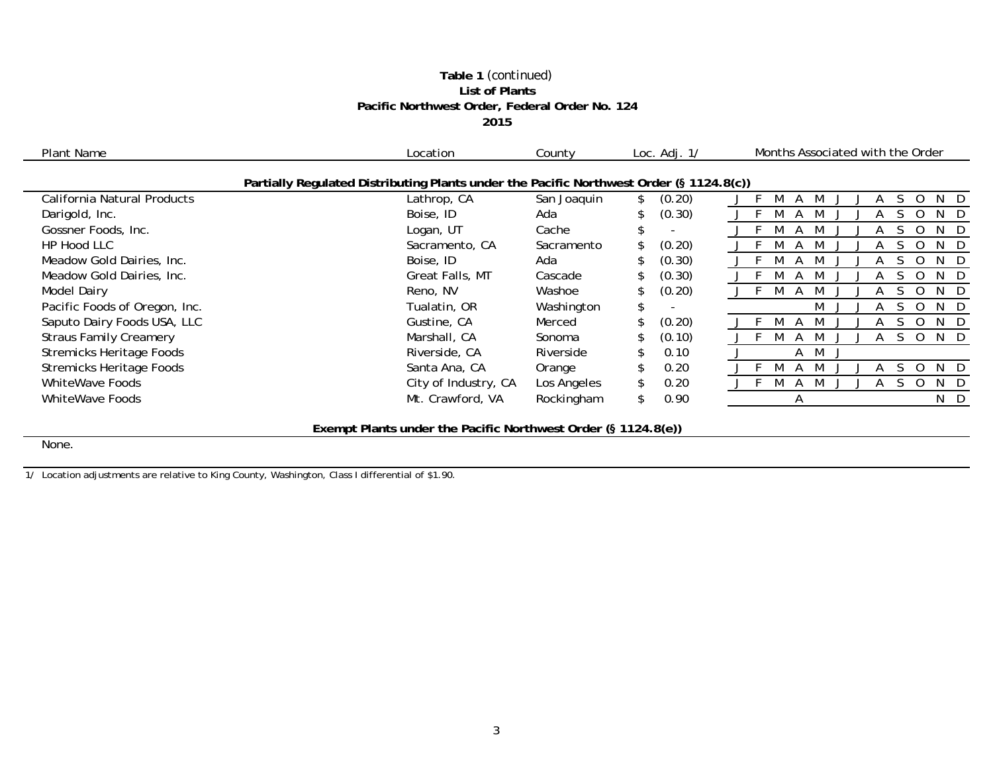#### **Table 1** *(continued)* **List of Plants Pacific Northwest Order, Federal Order No. 124 2015**

| Plant Name                      | Location                                                                                | County      | Loc. $Adj. 1/$ | Months Associated with the Order |
|---------------------------------|-----------------------------------------------------------------------------------------|-------------|----------------|----------------------------------|
|                                 | Partially Regulated Distributing Plants under the Pacific Northwest Order (§ 1124.8(c)) |             |                |                                  |
| California Natural Products     | Lathrop, CA                                                                             | San Joaquin | (0.20)         | N.<br>-D                         |
| Darigold, Inc.                  | Boise, ID                                                                               | Ada         | (0.30)         | N.                               |
| Gossner Foods, Inc.             | Logan, UT                                                                               | Cache       |                | N                                |
| HP Hood LLC                     | Sacramento, CA                                                                          | Sacramento  | (0.20)         | D<br>N                           |
| Meadow Gold Dairies, Inc.       | Boise, ID                                                                               | Ada         | (0.30)         | N.<br>D.                         |
| Meadow Gold Dairies, Inc.       | Great Falls, MT                                                                         | Cascade     | (0.30)         | N<br>D                           |
| <b>Model Dairy</b>              | Reno, NV                                                                                | Washoe      | (0.20)         | N.<br>- D                        |
| Pacific Foods of Oregon, Inc.   | Tualatin, OR                                                                            | Washington  | \$.            | M<br>N D<br>U<br>$\mathcal{L}$   |
| Saputo Dairy Foods USA, LLC     | Gustine, CA                                                                             | Merced      | (0.20)         | N.<br>- D                        |
| <b>Straus Family Creamery</b>   | Marshall, CA                                                                            | Sonoma      | (0.10)         | N D                              |
| <b>Stremicks Heritage Foods</b> | Riverside, CA                                                                           | Riverside   | 0.10           | A M                              |
| <b>Stremicks Heritage Foods</b> | Santa Ana, CA                                                                           | Orange      | 0.20           | N D                              |
| <b>WhiteWave Foods</b>          | City of Industry, CA                                                                    | Los Angeles | 0.20<br>\$.    | N<br>- D                         |
| WhiteWave Foods                 | Mt. Crawford, VA                                                                        | Rockingham  | 0.90<br>\$.    | N D<br>A                         |
|                                 |                                                                                         |             |                |                                  |

**Exempt Plants under the Pacific Northwest Order (§ 1124.8(e))**

None.

1/ Location adjustments are relative to King County, Washington, Class I differential of \$1.90.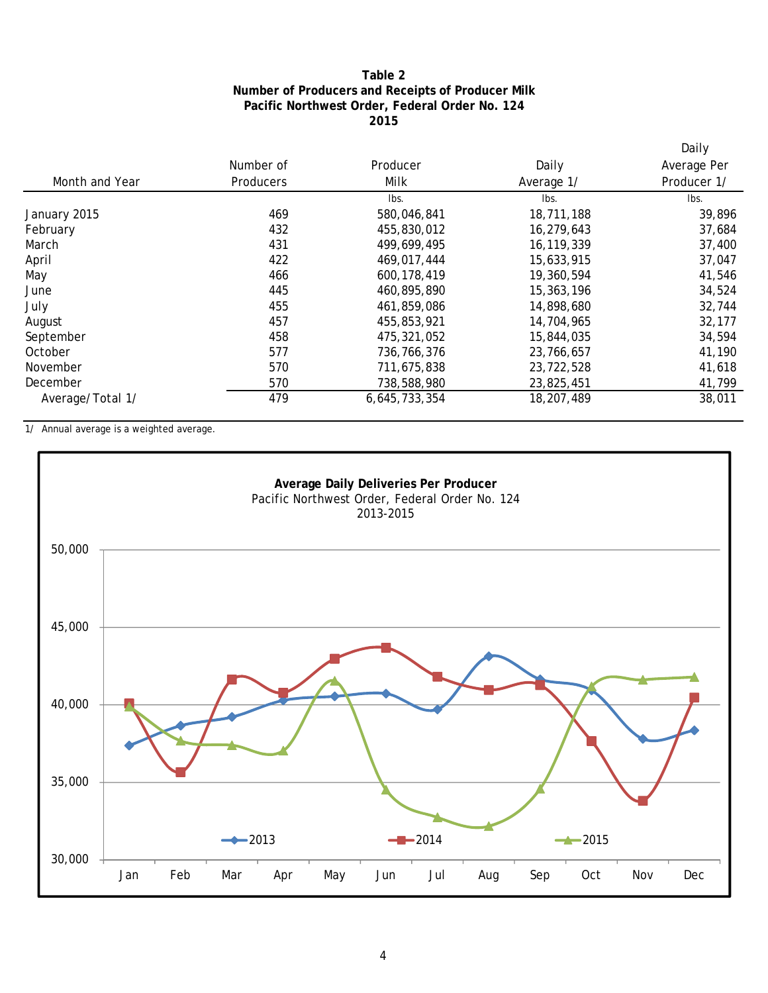### **2015 Pacific Northwest Order, Federal Order No. 124 Number of Producers and Receipts of Producer Milk Table 2**

|                  |           |               |            | Daily       |
|------------------|-----------|---------------|------------|-------------|
|                  | Number of | Producer      | Daily      | Average Per |
| Month and Year   | Producers | Milk          | Average 1/ | Producer 1/ |
|                  |           | Ibs.          | Ibs.       | lbs.        |
| January 2015     | 469       | 580,046,841   | 18,711,188 | 39,896      |
| February         | 432       | 455,830,012   | 16,279,643 | 37,684      |
| March            | 431       | 499,699,495   | 16,119,339 | 37,400      |
| April            | 422       | 469,017,444   | 15,633,915 | 37,047      |
| May              | 466       | 600, 178, 419 | 19,360,594 | 41,546      |
| June             | 445       | 460,895,890   | 15,363,196 | 34,524      |
| July             | 455       | 461,859,086   | 14,898,680 | 32,744      |
| August           | 457       | 455,853,921   | 14,704,965 | 32,177      |
| September        | 458       | 475,321,052   | 15,844,035 | 34,594      |
| October          | 577       | 736,766,376   | 23,766,657 | 41,190      |
| November         | 570       | 711,675,838   | 23,722,528 | 41,618      |
| December         | 570       | 738,588,980   | 23,825,451 | 41,799      |
| Average/Total 1/ | 479       | 6,645,733,354 | 18,207,489 | 38,011      |

1/ Annual average is a weighted average.

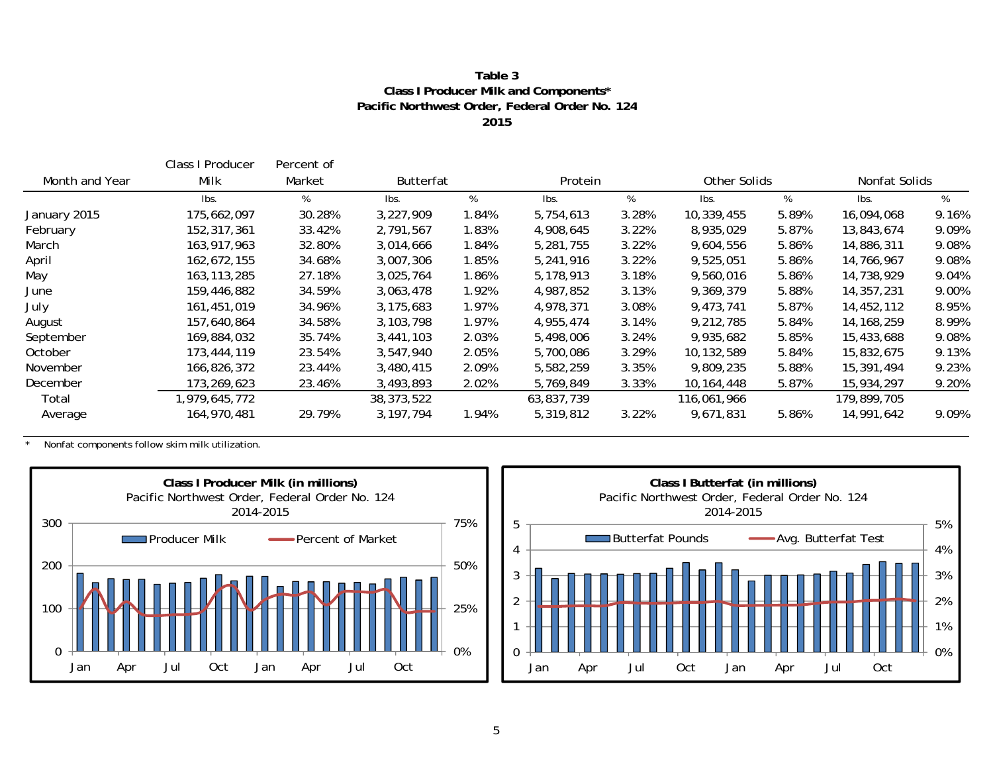#### **2015Pacific Northwest Order, Federal Order No. 124 Class I Producer Milk and Components\* Table 3**

|                | Class I Producer | Percent of |                  |       |            |       |             |              |              |               |
|----------------|------------------|------------|------------------|-------|------------|-------|-------------|--------------|--------------|---------------|
| Month and Year | Milk             | Market     | <b>Butterfat</b> |       | Protein    |       |             | Other Solids |              | Nonfat Solids |
|                | Ibs.             | %          | lbs.             | %     | Ibs.       | %     | Ibs.        | %            | lbs.         | %             |
| January 2015   | 175,662,097      | 30.28%     | 3,227,909        | 1.84% | 5,754,613  | 3.28% | 10,339,455  | 5.89%        | 16,094,068   | 9.16%         |
| February       | 152,317,361      | 33.42%     | 2,791,567        | 1.83% | 4,908,645  | 3.22% | 8,935,029   | 5.87%        | 13,843,674   | 9.09%         |
| March          | 163,917,963      | 32.80%     | 3,014,666        | 1.84% | 5,281,755  | 3.22% | 9,604,556   | 5.86%        | 14,886,311   | 9.08%         |
| April          | 162,672,155      | 34.68%     | 3,007,306        | 1.85% | 5,241,916  | 3.22% | 9,525,051   | 5.86%        | 14,766,967   | 9.08%         |
| May            | 163, 113, 285    | 27.18%     | 3,025,764        | 1.86% | 5,178,913  | 3.18% | 9,560,016   | 5.86%        | 14,738,929   | 9.04%         |
| June           | 159,446,882      | 34.59%     | 3,063,478        | 1.92% | 4,987,852  | 3.13% | 9,369,379   | 5.88%        | 14,357,231   | 9.00%         |
| July           | 161,451,019      | 34.96%     | 3,175,683        | 1.97% | 4,978,371  | 3.08% | 9,473,741   | 5.87%        | 14,452,112   | 8.95%         |
| August         | 157,640,864      | 34.58%     | 3, 103, 798      | 1.97% | 4,955,474  | 3.14% | 9,212,785   | 5.84%        | 14, 168, 259 | 8.99%         |
| September      | 169,884,032      | 35.74%     | 3,441,103        | 2.03% | 5,498,006  | 3.24% | 9,935,682   | 5.85%        | 15,433,688   | 9.08%         |
| October        | 173,444,119      | 23.54%     | 3.547.940        | 2.05% | 5,700,086  | 3.29% | 10,132,589  | 5.84%        | 15,832,675   | 9.13%         |
| November       | 166,826,372      | 23.44%     | 3,480,415        | 2.09% | 5,582,259  | 3.35% | 9,809,235   | 5.88%        | 15,391,494   | 9.23%         |
| December       | 173,269,623      | 23.46%     | 3,493,893        | 2.02% | 5,769,849  | 3.33% | 10,164,448  | 5.87%        | 15,934,297   | 9.20%         |
| Total          | 1,979,645,772    |            | 38, 373, 522     |       | 63,837,739 |       | 116,061,966 |              | 179,899,705  |               |
| Average        | 164,970,481      | 29.79%     | 3, 197, 794      | 1.94% | 5,319,812  | 3.22% | 9,671,831   | 5.86%        | 14,991,642   | 9.09%         |

\* Nonfat components follow skim milk utilization.



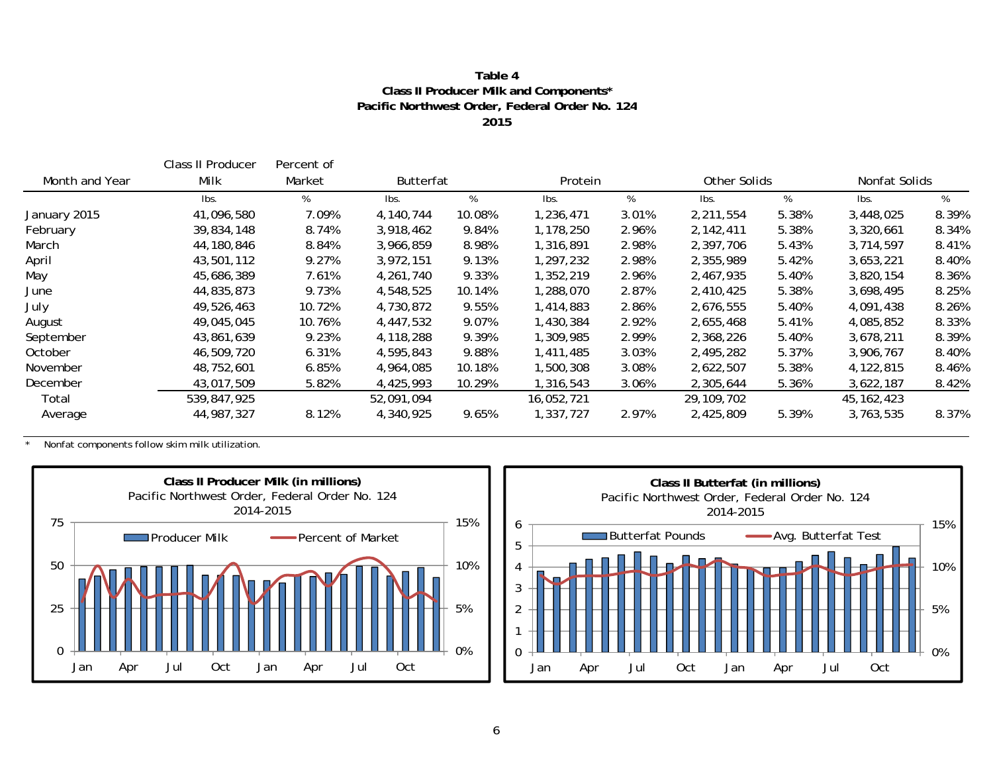#### **Table 4Class II Producer Milk and Components\* Pacific Northwest Order, Federal Order No. 124 2015**

|                | Class II Producer | Percent of |            |        |            |         |            |              |              |               |
|----------------|-------------------|------------|------------|--------|------------|---------|------------|--------------|--------------|---------------|
| Month and Year | Milk              | Market     | Butterfat  |        |            | Protein |            | Other Solids |              | Nonfat Solids |
|                | lbs.              | %          | lbs.       | %      | Ibs.       | %       | Ibs.       | %            | Ibs.         | %             |
| January 2015   | 41,096,580        | 7.09%      | 4,140,744  | 10.08% | 1,236,471  | 3.01%   | 2,211,554  | 5.38%        | 3,448,025    | 8.39%         |
| February       | 39,834,148        | 8.74%      | 3,918,462  | 9.84%  | 1,178,250  | 2.96%   | 2,142,411  | 5.38%        | 3,320,661    | 8.34%         |
| March          | 44,180,846        | 8.84%      | 3,966,859  | 8.98%  | 1,316,891  | 2.98%   | 2,397,706  | 5.43%        | 3,714,597    | 8.41%         |
| April          | 43,501,112        | 9.27%      | 3,972,151  | 9.13%  | 1,297,232  | 2.98%   | 2,355,989  | 5.42%        | 3,653,221    | 8.40%         |
| May            | 45,686,389        | 7.61%      | 4,261,740  | 9.33%  | 1,352,219  | 2.96%   | 2,467,935  | 5.40%        | 3,820,154    | 8.36%         |
| June           | 44,835,873        | 9.73%      | 4,548,525  | 10.14% | 1,288,070  | 2.87%   | 2,410,425  | 5.38%        | 3,698,495    | 8.25%         |
| July           | 49,526,463        | 10.72%     | 4,730,872  | 9.55%  | 1,414,883  | 2.86%   | 2,676,555  | 5.40%        | 4,091,438    | 8.26%         |
| August         | 49,045,045        | 10.76%     | 4,447,532  | 9.07%  | 1,430,384  | 2.92%   | 2,655,468  | 5.41%        | 4,085,852    | 8.33%         |
| September      | 43,861,639        | 9.23%      | 4,118,288  | 9.39%  | 1,309,985  | 2.99%   | 2,368,226  | 5.40%        | 3,678,211    | 8.39%         |
| October        | 46,509,720        | 6.31%      | 4,595,843  | 9.88%  | 1,411,485  | 3.03%   | 2,495,282  | 5.37%        | 3,906,767    | 8.40%         |
| November       | 48,752,601        | 6.85%      | 4,964,085  | 10.18% | 1,500,308  | 3.08%   | 2,622,507  | 5.38%        | 4,122,815    | 8.46%         |
| December       | 43,017,509        | 5.82%      | 4,425,993  | 10.29% | 1,316,543  | 3.06%   | 2,305,644  | 5.36%        | 3,622,187    | 8.42%         |
| Total          | 539,847,925       |            | 52,091,094 |        | 16,052,721 |         | 29,109,702 |              | 45, 162, 423 |               |
| Average        | 44,987,327        | 8.12%      | 4,340,925  | 9.65%  | 1,337,727  | 2.97%   | 2,425,809  | 5.39%        | 3,763,535    | 8.37%         |

\* Nonfat components follow skim milk utilization.



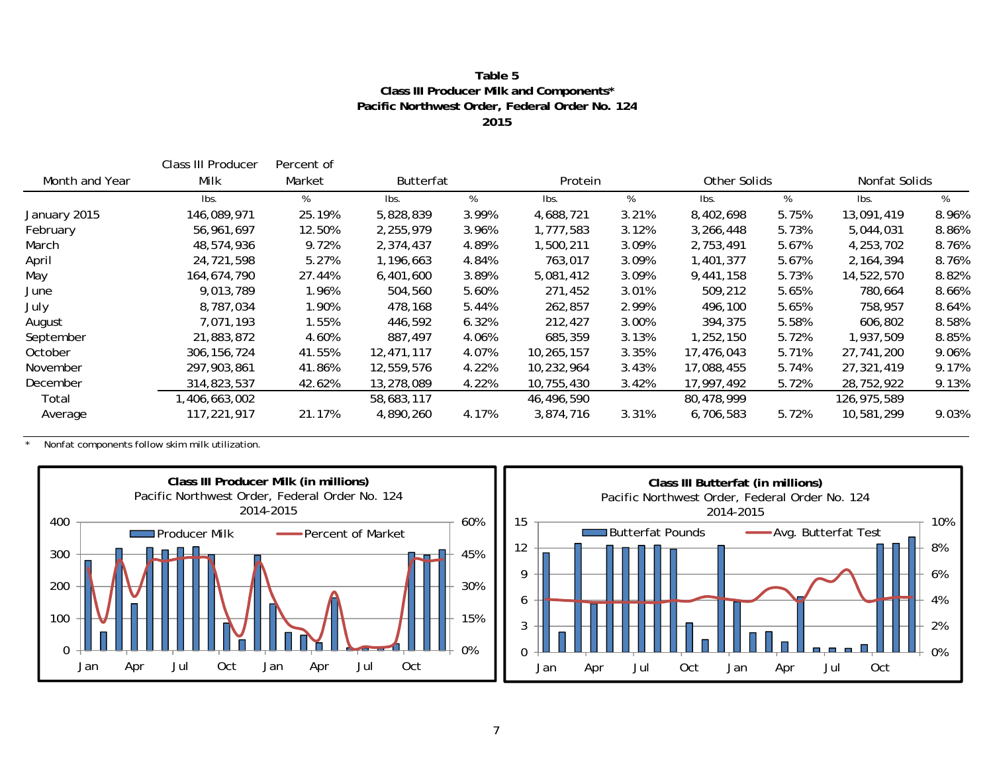#### **Table 5Class III Producer Milk and Components\* Pacific Northwest Order, Federal Order No. 124 2015**

|                | Class III Producer | Percent of |                  |       |            |         |            |              |             |               |
|----------------|--------------------|------------|------------------|-------|------------|---------|------------|--------------|-------------|---------------|
| Month and Year | Milk               | Market     | <b>Butterfat</b> |       |            | Protein |            | Other Solids |             | Nonfat Solids |
|                | Ibs.               | %          | lbs.             | %     | Ibs.       | %       | Ibs.       | %            | lbs.        | %             |
| January 2015   | 146,089,971        | 25.19%     | 5,828,839        | 3.99% | 4,688,721  | 3.21%   | 8,402,698  | 5.75%        | 13,091,419  | 8.96%         |
| February       | 56,961,697         | 12.50%     | 2,255,979        | 3.96% | 1,777,583  | 3.12%   | 3,266,448  | 5.73%        | 5,044,031   | 8.86%         |
| March          | 48,574,936         | 9.72%      | 2,374,437        | 4.89% | 1,500,211  | 3.09%   | 2,753,491  | 5.67%        | 4,253,702   | 8.76%         |
| April          | 24,721,598         | 5.27%      | 1,196,663        | 4.84% | 763,017    | 3.09%   | 1,401,377  | 5.67%        | 2, 164, 394 | 8.76%         |
| May            | 164,674,790        | 27.44%     | 6,401,600        | 3.89% | 5,081,412  | 3.09%   | 9,441,158  | 5.73%        | 14,522,570  | 8.82%         |
| June           | 9,013,789          | 1.96%      | 504,560          | 5.60% | 271,452    | 3.01%   | 509,212    | 5.65%        | 780,664     | 8.66%         |
| July           | 8,787,034          | 1.90%      | 478,168          | 5.44% | 262,857    | 2.99%   | 496,100    | 5.65%        | 758,957     | 8.64%         |
| August         | 7.071.193          | 1.55%      | 446,592          | 6.32% | 212,427    | 3.00%   | 394,375    | 5.58%        | 606,802     | 8.58%         |
| September      | 21,883,872         | 4.60%      | 887,497          | 4.06% | 685,359    | 3.13%   | 1,252,150  | 5.72%        | 1,937,509   | 8.85%         |
| October        | 306, 156, 724      | 41.55%     | 12,471,117       | 4.07% | 10,265,157 | 3.35%   | 17,476,043 | 5.71%        | 27,741,200  | 9.06%         |
| November       | 297,903,861        | 41.86%     | 12,559,576       | 4.22% | 10,232,964 | 3.43%   | 17,088,455 | 5.74%        | 27,321,419  | 9.17%         |
| December       | 314,823,537        | 42.62%     | 13,278,089       | 4.22% | 10,755,430 | 3.42%   | 17,997,492 | 5.72%        | 28,752,922  | 9.13%         |
| Total          | ,406,663,002       |            | 58,683,117       |       | 46,496,590 |         | 80,478,999 |              | 126,975,589 |               |
| Average        | 117,221,917        | 21.17%     | 4,890,260        | 4.17% | 3,874,716  | 3.31%   | 6,706,583  | 5.72%        | 10,581,299  | 9.03%         |

\* Nonfat components follow skim milk utilization.



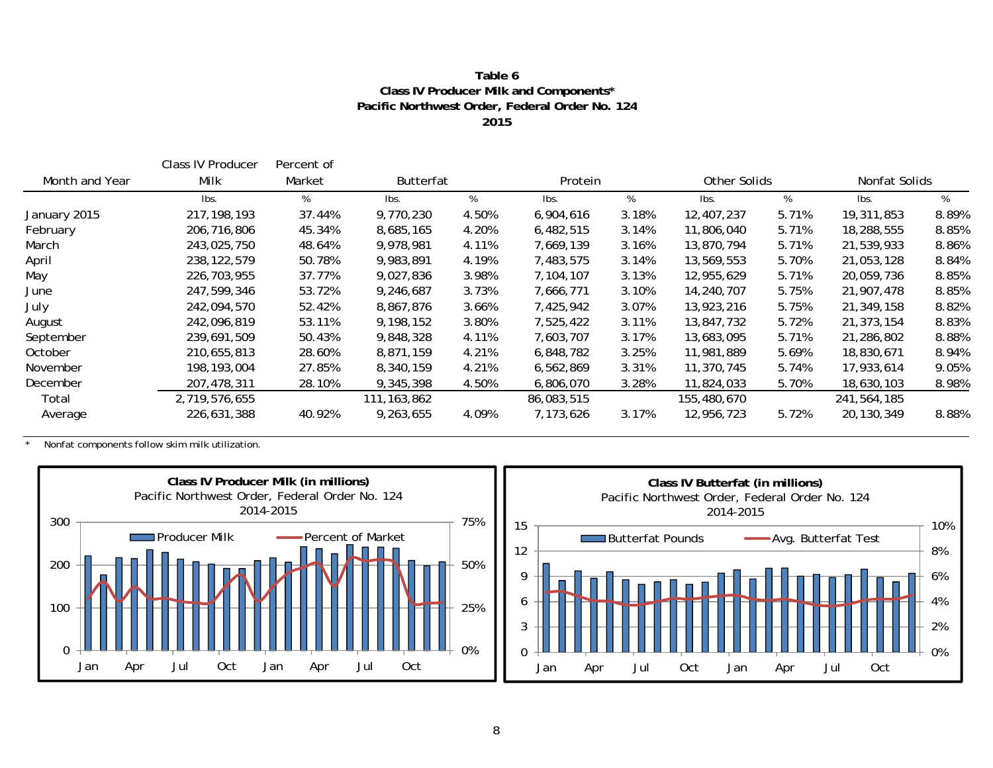#### **Table 6Class IV Producer Milk and Components\* Pacific Northwest Order, Federal Order No. 124 2015**

|                | Class IV Producer | Percent of |                  |       |            |         |             |              |             |               |
|----------------|-------------------|------------|------------------|-------|------------|---------|-------------|--------------|-------------|---------------|
| Month and Year | Milk              | Market     | <b>Butterfat</b> |       |            | Protein |             | Other Solids |             | Nonfat Solids |
|                | Ibs.              | %          | lbs.             | %     | Ibs.       | %       | Ibs.        | %            | lbs.        | %             |
| January 2015   | 217, 198, 193     | 37.44%     | 9,770,230        | 4.50% | 6,904,616  | 3.18%   | 12,407,237  | 5.71%        | 19,311,853  | 8.89%         |
| February       | 206,716,806       | 45.34%     | 8,685,165        | 4.20% | 6,482,515  | 3.14%   | 11,806,040  | 5.71%        | 18,288,555  | 8.85%         |
| March          | 243,025,750       | 48.64%     | 9,978,981        | 4.11% | 7,669,139  | 3.16%   | 13,870,794  | 5.71%        | 21,539,933  | 8.86%         |
| April          | 238, 122, 579     | 50.78%     | 9,983,891        | 4.19% | 7,483,575  | 3.14%   | 13,569,553  | 5.70%        | 21,053,128  | 8.84%         |
| May            | 226,703,955       | 37.77%     | 9,027,836        | 3.98% | 7,104,107  | 3.13%   | 12,955,629  | 5.71%        | 20,059,736  | 8.85%         |
| June           | 247,599,346       | 53.72%     | 9,246,687        | 3.73% | 7,666,771  | 3.10%   | 14,240,707  | 5.75%        | 21,907,478  | 8.85%         |
| July           | 242,094,570       | 52.42%     | 8,867,876        | 3.66% | 7,425,942  | 3.07%   | 13,923,216  | 5.75%        | 21,349,158  | 8.82%         |
| August         | 242,096,819       | 53.11%     | 9,198,152        | 3.80% | 7,525,422  | 3.11%   | 13,847,732  | 5.72%        | 21,373,154  | 8.83%         |
| September      | 239,691,509       | 50.43%     | 9,848,328        | 4.11% | 7,603,707  | 3.17%   | 13,683,095  | 5.71%        | 21,286,802  | 8.88%         |
| October        | 210,655,813       | 28.60%     | 8.871.159        | 4.21% | 6,848,782  | 3.25%   | 11,981,889  | 5.69%        | 18,830,671  | 8.94%         |
| November       | 198, 193, 004     | 27.85%     | 8,340,159        | 4.21% | 6,562,869  | 3.31%   | 11,370,745  | 5.74%        | 17,933,614  | 9.05%         |
| December       | 207,478,311       | 28.10%     | 9,345,398        | 4.50% | 6,806,070  | 3.28%   | 11,824,033  | 5.70%        | 18,630,103  | 8.98%         |
| Total          | 2,719,576,655     |            | 111, 163, 862    |       | 86,083,515 |         | 155,480,670 |              | 241,564,185 |               |
| Average        | 226,631,388       | 40.92%     | 9,263,655        | 4.09% | 7,173,626  | 3.17%   | 12,956,723  | 5.72%        | 20,130,349  | 8.88%         |

\* Nonfat components follow skim milk utilization.



0%2%

4%

6%

8%

10%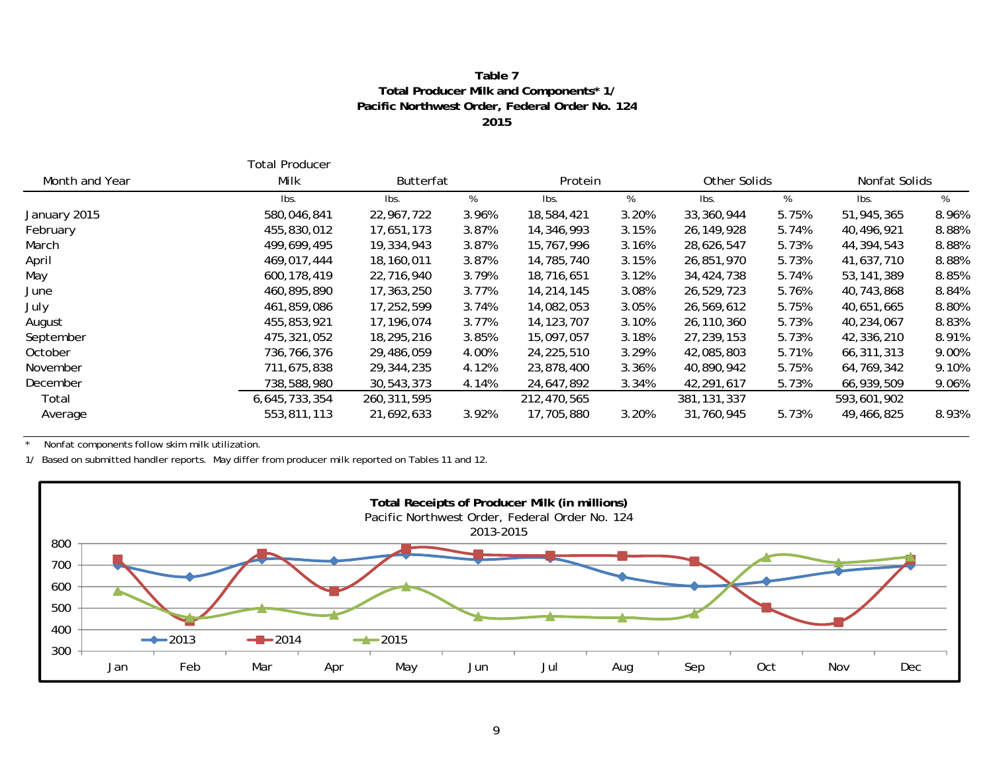#### **Table 7 Total Producer Milk and Components\* 1 / Pacific Northwest Order, Federal Order No. 124 2015**

|                | Total Producer |               |                  |              |         |               |              |              |               |  |
|----------------|----------------|---------------|------------------|--------------|---------|---------------|--------------|--------------|---------------|--|
| Month and Year | Milk           |               | <b>Butterfat</b> |              | Protein |               | Other Solids |              | Nonfat Solids |  |
|                | Ibs.           | Ibs.          | %                | Ibs.         | %       | Ibs.          | %            | lbs.         | %             |  |
| January 2015   | 580,046,841    | 22,967,722    | 3.96%            | 18,584,421   | 3.20%   | 33,360,944    | 5.75%        | 51,945,365   | 8.96%         |  |
| February       | 455,830,012    | 17,651,173    | 3.87%            | 14,346,993   | 3.15%   | 26,149,928    | 5.74%        | 40,496,921   | 8.88%         |  |
| March          | 499,699,495    | 19,334,943    | 3.87%            | 15,767,996   | 3.16%   | 28,626,547    | 5.73%        | 44,394,543   | 8.88%         |  |
| April          | 469,017,444    | 18,160,011    | 3.87%            | 14,785,740   | 3.15%   | 26,851,970    | 5.73%        | 41,637,710   | 8.88%         |  |
| May            | 600,178,419    | 22,716,940    | 3.79%            | 18,716,651   | 3.12%   | 34,424,738    | 5.74%        | 53, 141, 389 | 8.85%         |  |
| June           | 460,895,890    | 17,363,250    | 3.77%            | 14,214,145   | 3.08%   | 26,529,723    | 5.76%        | 40,743,868   | 8.84%         |  |
| July           | 461,859,086    | 17,252,599    | 3.74%            | 14,082,053   | 3.05%   | 26,569,612    | 5.75%        | 40,651,665   | 8.80%         |  |
| August         | 455,853,921    | 17,196,074    | 3.77%            | 14, 123, 707 | 3.10%   | 26,110,360    | 5.73%        | 40,234,067   | 8.83%         |  |
| September      | 475,321,052    | 18,295,216    | 3.85%            | 15,097,057   | 3.18%   | 27,239,153    | 5.73%        | 42,336,210   | 8.91%         |  |
| October        | 736,766,376    | 29,486,059    | 4.00%            | 24,225,510   | 3.29%   | 42,085,803    | 5.71%        | 66,311,313   | 9.00%         |  |
| November       | 711,675,838    | 29,344,235    | 4.12%            | 23,878,400   | 3.36%   | 40,890,942    | 5.75%        | 64,769,342   | 9.10%         |  |
| December       | 738,588,980    | 30,543,373    | 4.14%            | 24,647,892   | 3.34%   | 42,291,617    | 5.73%        | 66,939,509   | 9.06%         |  |
| Total          | 6,645,733,354  | 260, 311, 595 |                  | 212,470,565  |         | 381, 131, 337 |              | 593,601,902  |               |  |
| Average        | 553,811,113    | 21,692,633    | 3.92%            | 17,705,880   | 3.20%   | 31,760,945    | 5.73%        | 49,466,825   | 8.93%         |  |

\* Nonfat components follow skim milk utilization.

1/ Based on submitted handler reports. May differ from producer milk reported on Tables 11 and 12.

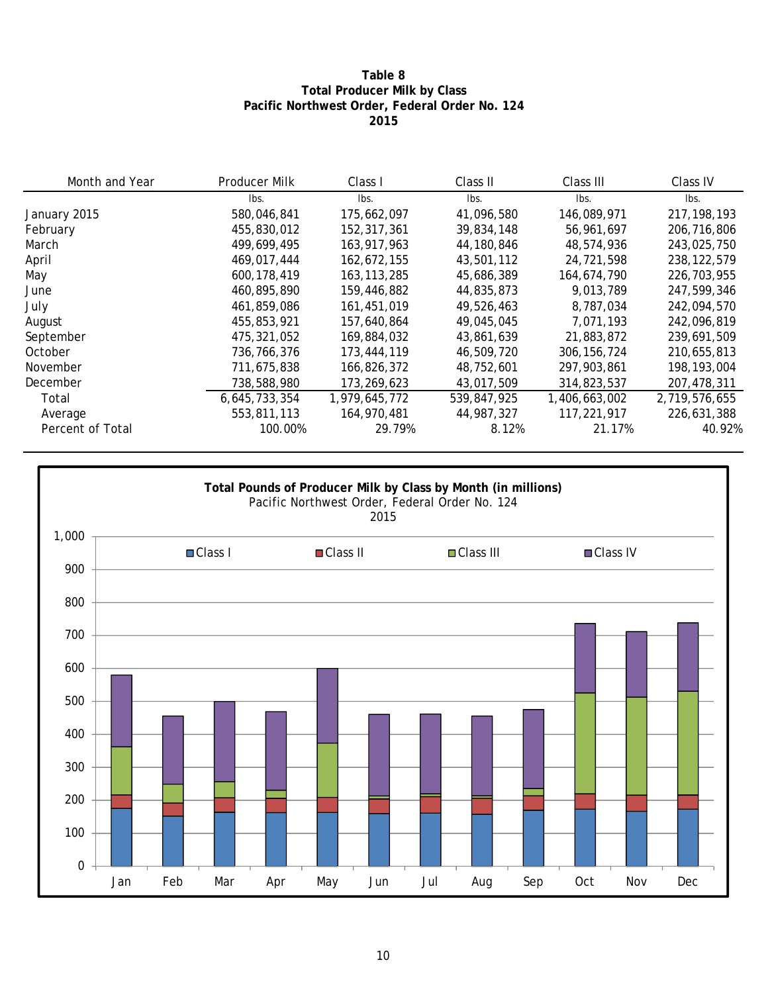### **Table 8 Total Producer Milk by Class Pacific Northwest Order, Federal Order No. 124 2015**

| Month and Year   | <b>Producer Milk</b> | Class I       | Class II    | Class III     | Class IV      |
|------------------|----------------------|---------------|-------------|---------------|---------------|
|                  | lbs.                 | lbs.          | lbs.        | lbs.          | lbs.          |
| January 2015     | 580,046,841          | 175,662,097   | 41,096,580  | 146,089,971   | 217, 198, 193 |
| February         | 455,830,012          | 152,317,361   | 39,834,148  | 56,961,697    | 206,716,806   |
| March            | 499,699,495          | 163,917,963   | 44,180,846  | 48,574,936    | 243,025,750   |
| April            | 469,017,444          | 162,672,155   | 43,501,112  | 24,721,598    | 238, 122, 579 |
| May              | 600.178.419          | 163, 113, 285 | 45,686,389  | 164,674,790   | 226,703,955   |
| June             | 460,895,890          | 159,446,882   | 44,835,873  | 9,013,789     | 247,599,346   |
| July             | 461,859,086          | 161,451,019   | 49,526,463  | 8,787,034     | 242,094,570   |
| August           | 455,853,921          | 157,640,864   | 49,045,045  | 7,071,193     | 242,096,819   |
| September        | 475,321,052          | 169,884,032   | 43,861,639  | 21,883,872    | 239,691,509   |
| October          | 736,766,376          | 173,444,119   | 46,509,720  | 306, 156, 724 | 210,655,813   |
| November         | 711,675,838          | 166,826,372   | 48,752,601  | 297,903,861   | 198,193,004   |
| December         | 738,588,980          | 173,269,623   | 43.017.509  | 314,823,537   | 207,478,311   |
| Total            | 6,645,733,354        | 1,979,645,772 | 539,847,925 | 1,406,663,002 | 2,719,576,655 |
| Average          | 553,811,113          | 164,970,481   | 44,987,327  | 117,221,917   | 226,631,388   |
| Percent of Total | 100.00%              | 29.79%        | 8.12%       | 21.17%        | 40.92%        |

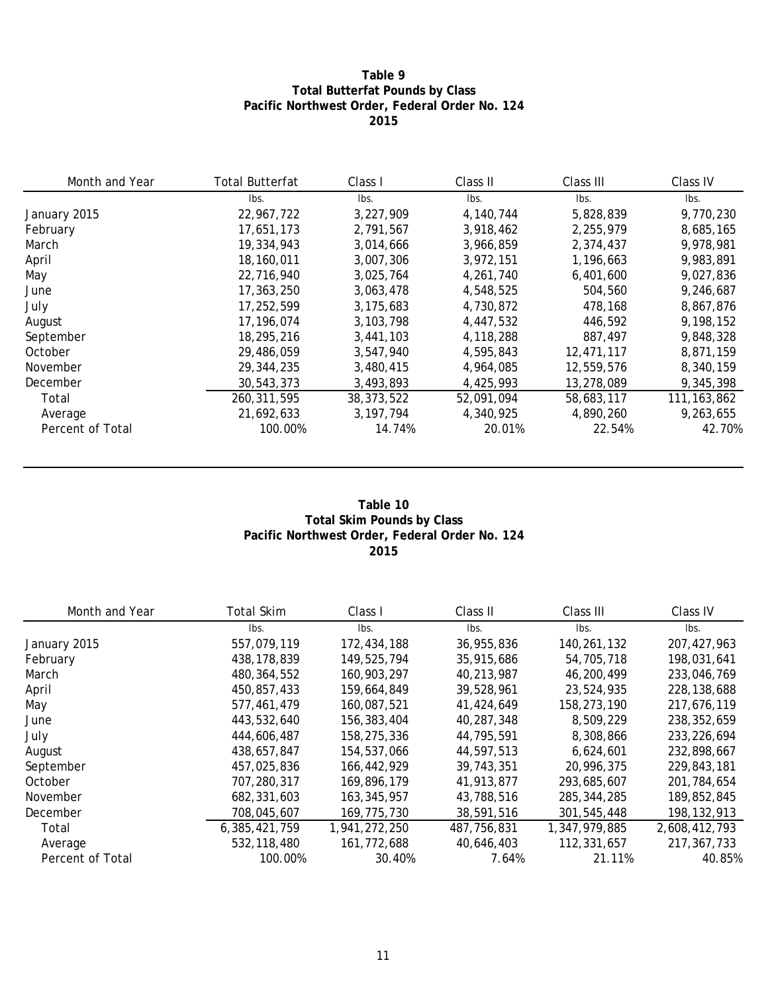### **Table 9 Total Butterfat Pounds by Class Pacific Northwest Order, Federal Order No. 124 2015**

| Month and Year   | <b>Total Butterfat</b> | Class I      | Class II   | Class III  | Class IV      |
|------------------|------------------------|--------------|------------|------------|---------------|
|                  | lbs.                   | Ibs.         | lbs.       | lbs.       | lbs.          |
| January 2015     | 22,967,722             | 3,227,909    | 4,140,744  | 5,828,839  | 9,770,230     |
| February         | 17,651,173             | 2,791,567    | 3,918,462  | 2,255,979  | 8,685,165     |
| March            | 19,334,943             | 3,014,666    | 3,966,859  | 2,374,437  | 9,978,981     |
| April            | 18,160,011             | 3,007,306    | 3.972.151  | 1,196,663  | 9.983.891     |
| May              | 22,716,940             | 3,025,764    | 4,261,740  | 6,401,600  | 9,027,836     |
| June             | 17,363,250             | 3,063,478    | 4,548,525  | 504,560    | 9,246,687     |
| July             | 17,252,599             | 3,175,683    | 4,730,872  | 478,168    | 8,867,876     |
| August           | 17,196,074             | 3, 103, 798  | 4.447.532  | 446.592    | 9,198,152     |
| September        | 18,295,216             | 3,441,103    | 4,118,288  | 887,497    | 9,848,328     |
| October          | 29,486,059             | 3.547.940    | 4,595,843  | 12,471,117 | 8,871,159     |
| November         | 29,344,235             | 3,480,415    | 4,964,085  | 12,559,576 | 8,340,159     |
| December         | 30,543,373             | 3,493,893    | 4,425,993  | 13,278,089 | 9,345,398     |
| Total            | 260, 311, 595          | 38, 373, 522 | 52,091,094 | 58,683,117 | 111, 163, 862 |
| Average          | 21,692,633             | 3.197.794    | 4,340,925  | 4,890,260  | 9,263,655     |
| Percent of Total | 100.00%                | 14.74%       | 20.01%     | 22.54%     | 42.70%        |

#### **Table 10 Total Skim Pounds by Class Pacific Northwest Order, Federal Order No. 124 2015**

| Month and Year   | <b>Total Skim</b> | Class I       | Class II    | Class III     | Class IV      |
|------------------|-------------------|---------------|-------------|---------------|---------------|
|                  | lbs.              | lbs.          | Ibs.        | lbs.          | lbs.          |
| January 2015     | 557,079,119       | 172,434,188   | 36,955,836  | 140,261,132   | 207, 427, 963 |
| February         | 438, 178, 839     | 149,525,794   | 35,915,686  | 54,705,718    | 198,031,641   |
| March            | 480, 364, 552     | 160.903.297   | 40,213,987  | 46,200,499    | 233,046,769   |
| April            | 450,857,433       | 159,664,849   | 39,528,961  | 23,524,935    | 228, 138, 688 |
| May              | 577,461,479       | 160,087,521   | 41,424,649  | 158,273,190   | 217,676,119   |
| June             | 443,532,640       | 156,383,404   | 40,287,348  | 8,509,229     | 238, 352, 659 |
| July             | 444,606,487       | 158,275,336   | 44,795,591  | 8,308,866     | 233, 226, 694 |
| August           | 438,657,847       | 154,537,066   | 44,597,513  | 6,624,601     | 232,898,667   |
| September        | 457,025,836       | 166,442,929   | 39,743,351  | 20,996,375    | 229,843,181   |
| October          | 707,280,317       | 169,896,179   | 41,913,877  | 293,685,607   | 201,784,654   |
| November         | 682,331,603       | 163, 345, 957 | 43,788,516  | 285, 344, 285 | 189,852,845   |
| December         | 708.045.607       | 169,775,730   | 38,591,516  | 301,545,448   | 198, 132, 913 |
| Total            | 6,385,421,759     | 1,941,272,250 | 487,756,831 | 1,347,979,885 | 2,608,412,793 |
| Average          | 532,118,480       | 161,772,688   | 40,646,403  | 112,331,657   | 217, 367, 733 |
| Percent of Total | 100.00%           | 30.40%        | 7.64%       | 21.11%        | 40.85%        |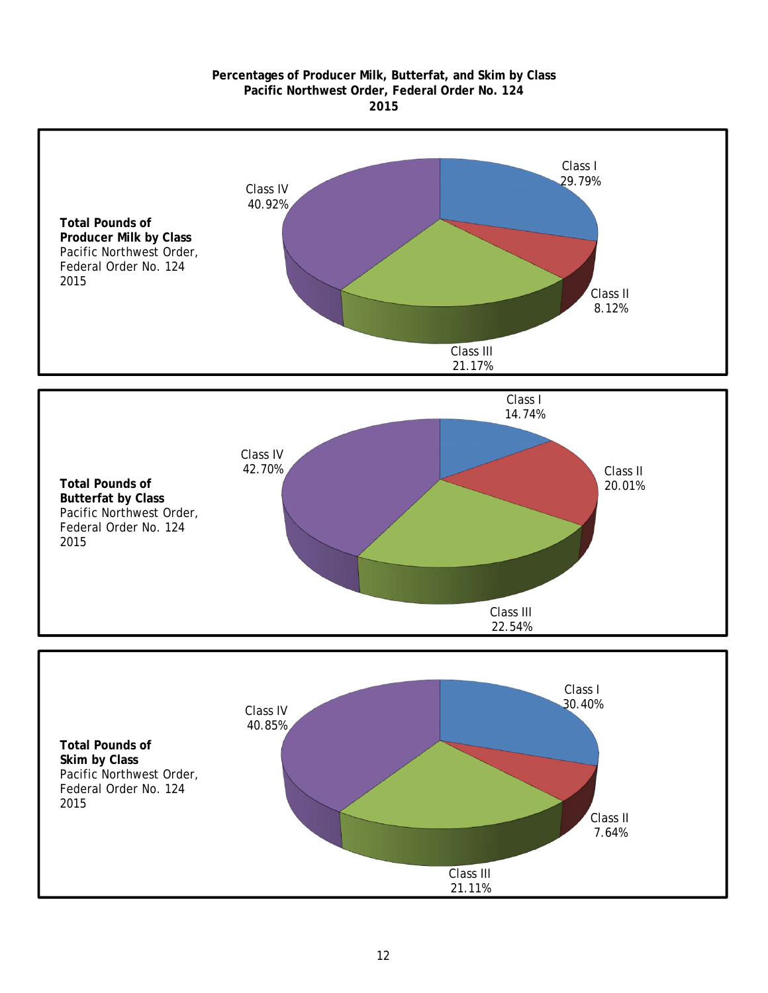#### **2015 Pacific Northwest Order, Federal Order No. 124 Percentages of Producer Milk, Butterfat, and Skim by Class**

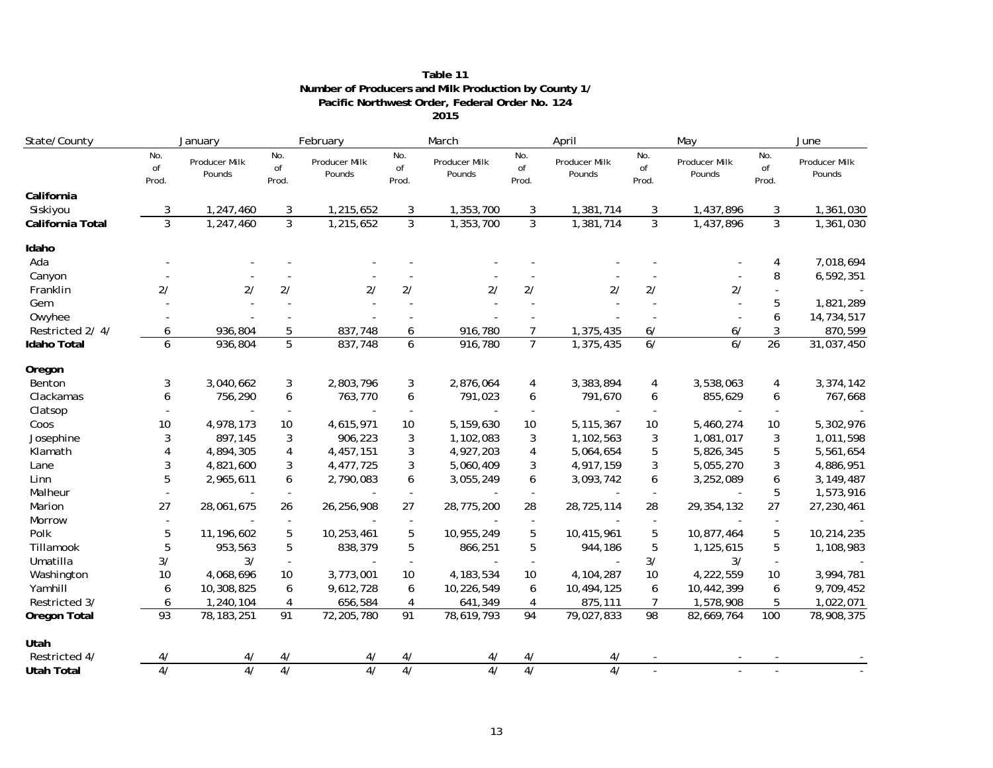| Table 11                                             |
|------------------------------------------------------|
| Number of Producers and Milk Production by County 1/ |
| Pacific Northwest Order, Federal Order No. 124       |
| 2015                                                 |

| State/County       | January            |                         | February           |                         | March              |                         | April              |                         | May                |                         | June               |                         |
|--------------------|--------------------|-------------------------|--------------------|-------------------------|--------------------|-------------------------|--------------------|-------------------------|--------------------|-------------------------|--------------------|-------------------------|
|                    | No.<br>of<br>Prod. | Producer Milk<br>Pounds | No.<br>of<br>Prod. | Producer Milk<br>Pounds | No.<br>of<br>Prod. | Producer Milk<br>Pounds | No.<br>of<br>Prod. | Producer Milk<br>Pounds | No.<br>of<br>Prod. | Producer Milk<br>Pounds | No.<br>of<br>Prod. | Producer Milk<br>Pounds |
| California         |                    |                         |                    |                         |                    |                         |                    |                         |                    |                         |                    |                         |
| Siskiyou           | 3                  | 1,247,460               | 3                  | 1,215,652               | 3                  | 1,353,700               | 3                  | 1,381,714               | 3                  | 1,437,896               | 3                  | 1,361,030               |
| California Total   | 3                  | 1,247,460               | $\overline{3}$     | 1,215,652               | $\mathbf{3}$       | 1,353,700               | 3                  | 1,381,714               | $\mathbf{3}$       | 1,437,896               | $\mathbf{3}$       | 1,361,030               |
| Idaho              |                    |                         |                    |                         |                    |                         |                    |                         |                    |                         |                    |                         |
| Ada                |                    |                         |                    |                         |                    |                         |                    |                         |                    |                         | 4                  | 7,018,694               |
| Canyon             |                    |                         |                    |                         |                    |                         |                    |                         |                    |                         | 8                  | 6,592,351               |
| Franklin           | 2/                 | 2/                      | 2/                 | 2/                      | 2/                 | 2/                      | 2/                 | 2/                      | 2/                 | 2/                      |                    |                         |
| Gem                |                    |                         |                    |                         |                    |                         |                    |                         |                    |                         | 5                  | 1,821,289               |
| Owyhee             |                    |                         |                    |                         |                    |                         |                    |                         |                    |                         | 6                  | 14,734,517              |
| Restricted 2/4/    | 6                  | 936,804                 | 5                  | 837,748                 | 6                  | 916,780                 | $\overline{7}$     | 1,375,435               | 6/                 | 6/                      | 3                  | 870,599                 |
| <b>Idaho Total</b> | 6                  | 936,804                 | 5                  | 837,748                 | 6                  | 916,780                 | $\overline{7}$     | 1,375,435               | 6/                 | 6/                      | 26                 | 31,037,450              |
| Oregon             |                    |                         |                    |                         |                    |                         |                    |                         |                    |                         |                    |                         |
| Benton             | 3                  | 3,040,662               | 3                  | 2,803,796               | 3                  | 2,876,064               | 4                  | 3,383,894               | 4                  | 3,538,063               | 4                  | 3,374,142               |
| Clackamas          | 6                  | 756,290                 | 6                  | 763,770                 | 6                  | 791,023                 | 6                  | 791,670                 | 6                  | 855,629                 | 6                  | 767,668                 |
| Clatsop            |                    |                         |                    |                         | $\blacksquare$     |                         | $\sim$             |                         |                    |                         |                    |                         |
| Coos               | 10                 | 4,978,173               | 10                 | 4,615,971               | 10                 | 5,159,630               | 10                 | 5,115,367               | 10                 | 5,460,274               | 10                 | 5,302,976               |
| Josephine          | 3                  | 897,145                 | 3                  | 906,223                 | 3                  | 1,102,083               | 3                  | 1,102,563               | 3                  | 1,081,017               | 3                  | 1,011,598               |
| Klamath            |                    | 4,894,305               | $\overline{4}$     | 4,457,151               | 3                  | 4,927,203               | $\overline{4}$     | 5,064,654               | 5                  | 5,826,345               | 5                  | 5,561,654               |
| Lane               | 3                  | 4,821,600               | 3                  | 4,477,725               | 3                  | 5,060,409               | 3                  | 4,917,159               | 3                  | 5,055,270               | 3                  | 4,886,951               |
| Linn               | 5                  | 2,965,611               | 6                  | 2,790,083               | 6                  | 3,055,249               | 6                  | 3,093,742               | 6                  | 3,252,089               | 6                  | 3, 149, 487             |
| Malheur            |                    |                         |                    |                         |                    |                         |                    |                         |                    |                         | 5                  | 1,573,916               |
| Marion             | 27                 | 28,061,675              | 26                 | 26,256,908              | 27                 | 28,775,200              | 28                 | 28,725,114              | 28                 | 29, 354, 132            | 27                 | 27,230,461              |
| Morrow             |                    |                         | $\sim$             |                         | $\blacksquare$     |                         | $\blacksquare$     |                         | $\sim$             |                         |                    |                         |
| Polk               | 5                  | 11, 196, 602            | 5                  | 10,253,461              | 5                  | 10,955,249              | 5                  | 10,415,961              | 5                  | 10,877,464              | 5                  | 10,214,235              |
| Tillamook          | 5                  | 953,563                 | 5                  | 838,379                 | 5                  | 866,251                 | 5                  | 944,186                 | 5                  | 1,125,615               | 5                  | 1,108,983               |
| Umatilla           | 3/                 | 3/                      | $\overline{a}$     |                         | $\sim$             |                         | ÷.                 |                         | 3/                 | 3/                      | $\sim$             |                         |
| Washington         | 10                 | 4,068,696               | 10                 | 3,773,001               | 10                 | 4, 183, 534             | 10                 | 4,104,287               | 10                 | 4,222,559               | 10                 | 3,994,781               |
| Yamhill            | 6                  | 10,308,825              | 6                  | 9,612,728               | 6                  | 10,226,549              | 6                  | 10,494,125              | 6                  | 10,442,399              | 6                  | 9,709,452               |
| Restricted 3/      | 6                  | 1,240,104               | 4                  | 656,584                 | 4                  | 641,349                 | 4                  | 875,111                 | $\overline{7}$     | 1,578,908               | 5                  | 1,022,071               |
| Oregon Total       | 93                 | 78, 183, 251            | 91                 | 72,205,780              | $\overline{91}$    | 78,619,793              | 94                 | 79,027,833              | 98                 | 82,669,764              | 100                | 78,908,375              |
| Utah               |                    |                         |                    |                         |                    |                         |                    |                         |                    |                         |                    |                         |
| Restricted 4/      | 4/                 | 4/                      | 4/                 |                         | 4/                 |                         | 4/                 | 4/                      |                    |                         |                    |                         |
| <b>Utah Total</b>  | $\overline{4/}$    | $\overline{4/}$         | $\overline{4/}$    | $\overline{41}$         | 4/                 | $\overline{41}$         | 4/                 | $\overline{4/}$         |                    |                         |                    |                         |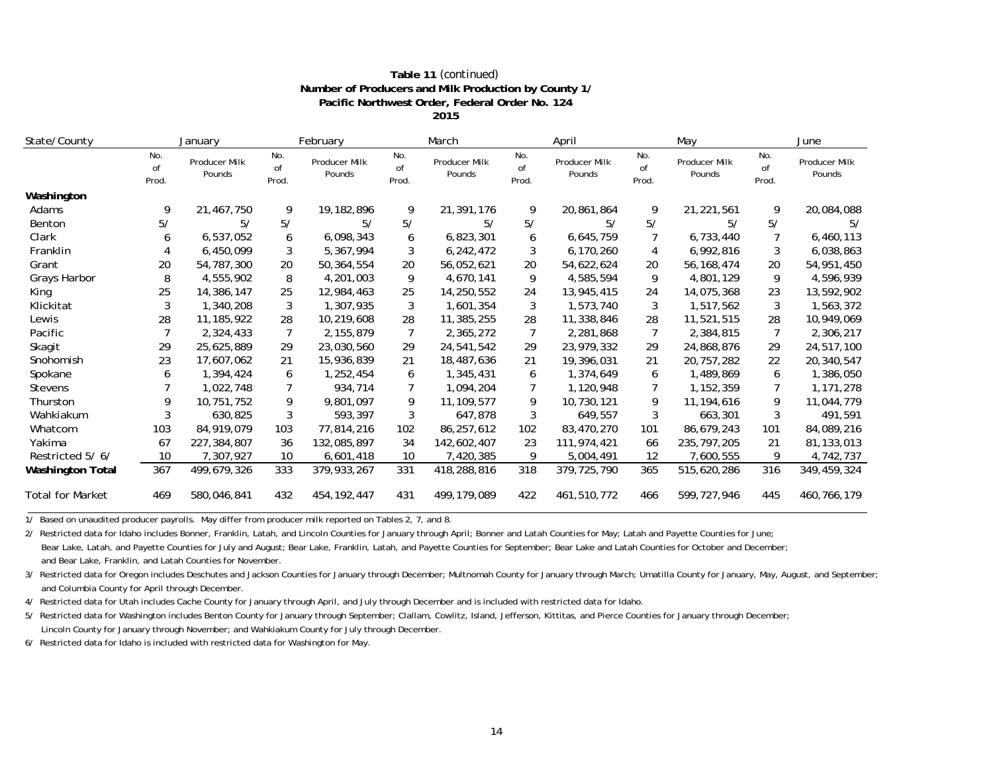| Table 11 (continued)                                 |
|------------------------------------------------------|
| Number of Producers and Milk Production by County 1/ |
| Pacific Northwest Order, Federal Order No. 124       |
| 2015                                                 |

| State/County            | January            |                                | February           |                         |                    | March                   |                    | April                          | May                |                         | June               |                         |
|-------------------------|--------------------|--------------------------------|--------------------|-------------------------|--------------------|-------------------------|--------------------|--------------------------------|--------------------|-------------------------|--------------------|-------------------------|
|                         | No.<br>of<br>Prod. | <b>Producer Milk</b><br>Pounds | No.<br>of<br>Prod. | Producer Milk<br>Pounds | No.<br>of<br>Prod. | Producer Milk<br>Pounds | No.<br>of<br>Prod. | <b>Producer Milk</b><br>Pounds | No.<br>of<br>Prod. | Producer Milk<br>Pounds | No.<br>of<br>Prod. | Producer Milk<br>Pounds |
| Washington              |                    |                                |                    |                         |                    |                         |                    |                                |                    |                         |                    |                         |
| Adams                   | 9                  | 21,467,750                     | 9                  | 19, 182, 896            | 9                  | 21,391,176              | 9                  | 20,861,864                     | 9                  | 21,221,561              | 9                  | 20,084,088              |
| Benton                  | 5/                 | 5/                             | 5/                 | 5/                      | 5/                 | 5/                      | 5/                 | 5/                             | 5/                 | 5/                      | 5/                 | 5/                      |
| Clark                   | 6                  | 6,537,052                      | 6                  | 6,098,343               | 6                  | 6,823,301               | 6                  | 6,645,759                      |                    | 6,733,440               |                    | 6,460,113               |
| Franklin                |                    | 6,450,099                      | 3                  | 5,367,994               | 3                  | 6,242,472               | 3                  | 6,170,260                      | 4                  | 6,992,816               | 3                  | 6,038,863               |
| Grant                   | 20                 | 54,787,300                     | 20                 | 50,364,554              | 20                 | 56,052,621              | 20                 | 54,622,624                     | 20                 | 56, 168, 474            | 20                 | 54,951,450              |
| Grays Harbor            | 8                  | 4,555,902                      | 8                  | 4,201,003               | 9                  | 4,670,141               | 9                  | 4,585,594                      | 9                  | 4,801,129               | 9                  | 4,596,939               |
| King                    | 25                 | 14,386,147                     | 25                 | 12,984,463              | 25                 | 14,250,552              | 24                 | 13,945,415                     | 24                 | 14,075,368              | 23                 | 13,592,902              |
| Klickitat               | 3                  | 1,340,208                      | 3                  | 1,307,935               | 3                  | 1,601,354               | 3                  | 1,573,740                      | 3                  | 1,517,562               | 3                  | 1,563,372               |
| Lewis                   | 28                 | 11, 185, 922                   | 28                 | 10,219,608              | 28                 | 11,385,255              | 28                 | 11,338,846                     | 28                 | 11,521,515              | 28                 | 10,949,069              |
| Pacific                 |                    | 2,324,433                      | 7                  | 2, 155, 879             | $\overline{7}$     | 2,365,272               | 7                  | 2,281,868                      | 7                  | 2,384,815               | 7                  | 2,306,217               |
| Skagit                  | 29                 | 25,625,889                     | 29                 | 23,030,560              | 29                 | 24,541,542              | 29                 | 23,979,332                     | 29                 | 24,868,876              | 29                 | 24,517,100              |
| Snohomish               | 23                 | 17,607,062                     | 21                 | 15,936,839              | 21                 | 18,487,636              | 21                 | 19,396,031                     | 21                 | 20, 757, 282            | 22                 | 20,340,547              |
| Spokane                 | 6                  | 1,394,424                      | 6                  | 1,252,454               | 6                  | 1,345,431               | 6                  | 1,374,649                      | 6                  | 1,489,869               | 6                  | 1,386,050               |
| <b>Stevens</b>          |                    | 1,022,748                      | 7                  | 934,714                 | 7                  | 1,094,204               |                    | 1,120,948                      |                    | 1,152,359               |                    | 1,171,278               |
| Thurston                | 9                  | 10,751,752                     | 9                  | 9,801,097               | 9                  | 11,109,577              | 9                  | 10,730,121                     | 9                  | 11, 194, 616            | 9                  | 11,044,779              |
| Wahkiakum               |                    | 630,825                        | 3                  | 593,397                 | 3                  | 647,878                 | 3                  | 649,557                        | 3                  | 663,301                 | 3                  | 491,591                 |
| Whatcom                 | 103                | 84,919,079                     | 103                | 77,814,216              | 102                | 86,257,612              | 102                | 83,470,270                     | 101                | 86,679,243              | 101                | 84,089,216              |
| Yakima                  | 67                 | 227,384,807                    | 36                 | 132,085,897             | 34                 | 142,602,407             | 23                 | 111,974,421                    | 66                 | 235, 797, 205           | 21                 | 81,133,013              |
| Restricted 5/6/         | 10                 | 7,307,927                      | 10                 | 6,601,418               | 10                 | 7,420,385               | 9                  | 5,004,491                      | 12                 | 7,600,555               | 9                  | 4,742,737               |
| <b>Washington Total</b> | 367                | 499,679,326                    | 333                | 379,933,267             | 331                | 418,288,816             | 318                | 379, 725, 790                  | 365                | 515,620,286             | 316                | 349,459,324             |
| <b>Total for Market</b> | 469                | 580,046,841                    | 432                | 454, 192, 447           | 431                | 499, 179, 089           | 422                | 461,510,772                    | 466                | 599,727,946             | 445                | 460,766,179             |

1/ Based on unaudited producer payrolls. May differ from producer milk reported on Tables 2, 7, and 8.

2/ Restricted data for Idaho includes Bonner, Franklin, Latah, and Lincoln Counties for January through April; Bonner and Latah Counties for May; Latah and Payette Counties for June;

 Bear Lake, Latah, and Payette Counties for July and August; Bear Lake, Franklin, Latah, and Payette Counties for September; Bear Lake and Latah Counties for October and December; and Bear Lake, Franklin, and Latah Counties for November.

3/ Restricted data for Oregon includes Deschutes and Jackson Counties for January through December; Multnomah County for January through March; Umatilla County for January, May, August, and September; and Columbia County for April through December.

4/ Restricted data for Utah includes Cache County for January through April, and July through December and is included with restricted data for Idaho.

5/ Restricted data for Washington includes Benton County for January through September; Clallam, Cowlitz, Island, Jefferson, Kittitas, and Pierce Counties for January through December; Lincoln County for January through November; and Wahkiakum County for July through December.

6/ Restricted data for Idaho is included with restricted data for Washington for May.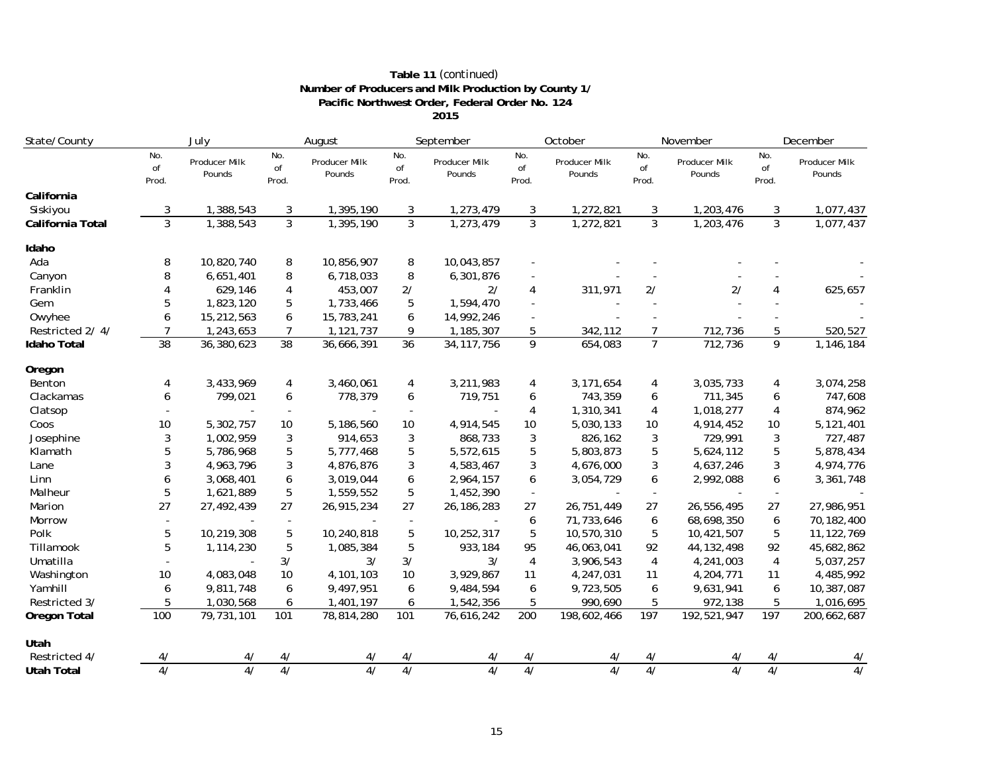| Table 11 (continued)                                 |
|------------------------------------------------------|
| Number of Producers and Milk Production by County 1/ |
| Pacific Northwest Order, Federal Order No. 124       |
| 2015                                                 |

| State/County       | July               |                         | August             |                         | September          |                         | October                  |                         | November           |                         | December           |                         |
|--------------------|--------------------|-------------------------|--------------------|-------------------------|--------------------|-------------------------|--------------------------|-------------------------|--------------------|-------------------------|--------------------|-------------------------|
|                    | No.<br>of<br>Prod. | Producer Milk<br>Pounds | No.<br>of<br>Prod. | Producer Milk<br>Pounds | No.<br>of<br>Prod. | Producer Milk<br>Pounds | No.<br>of<br>Prod.       | Producer Milk<br>Pounds | No.<br>of<br>Prod. | Producer Milk<br>Pounds | No.<br>of<br>Prod. | Producer Milk<br>Pounds |
| California         |                    |                         |                    |                         |                    |                         |                          |                         |                    |                         |                    |                         |
| Siskiyou           | 3                  | 1,388,543               | 3                  | 1,395,190               | 3                  | 1,273,479               | 3                        | 1,272,821               | 3                  | 1,203,476               | 3                  | 1,077,437               |
| California Total   | $\overline{3}$     | 1,388,543               | $\overline{3}$     | 1,395,190               | $\overline{3}$     | 1,273,479               | $\overline{3}$           | 1,272,821               | $\overline{3}$     | 1,203,476               | $\overline{3}$     | 1,077,437               |
| Idaho              |                    |                         |                    |                         |                    |                         |                          |                         |                    |                         |                    |                         |
| Ada                | 8                  | 10,820,740              | 8                  | 10,856,907              | 8                  | 10,043,857              |                          |                         |                    |                         |                    |                         |
| Canyon             | 8                  | 6,651,401               | 8                  | 6,718,033               | 8                  | 6,301,876               |                          |                         |                    |                         |                    |                         |
| Franklin           | Δ                  | 629,146                 | 4                  | 453,007                 | 2/                 | 2/                      | 4                        | 311,971                 | 2/                 | 2/                      | $\overline{4}$     | 625,657                 |
| Gem                | 5                  | 1,823,120               | 5                  | 1,733,466               | 5                  | 1,594,470               |                          |                         |                    |                         |                    |                         |
| Owyhee             | 6                  | 15,212,563              | 6                  | 15,783,241              | 6                  | 14,992,246              |                          |                         |                    |                         |                    |                         |
| Restricted 2/4/    | 7                  | 1,243,653               | $\overline{7}$     | 1,121,737               | 9                  | 1,185,307               | 5                        | 342,112                 | 7                  | 712,736                 | 5                  | 520,527                 |
| <b>Idaho Total</b> | 38                 | 36,380,623              | 38                 | 36,666,391              | 36                 | 34, 117, 756            | 9                        | 654,083                 | $\overline{7}$     | 712,736                 | 9                  | 1,146,184               |
| Oregon             |                    |                         |                    |                         |                    |                         |                          |                         |                    |                         |                    |                         |
| Benton             | 4                  | 3,433,969               | 4                  | 3,460,061               | 4                  | 3,211,983               | 4                        | 3, 171, 654             | 4                  | 3,035,733               | 4                  | 3,074,258               |
| Clackamas          | 6                  | 799,021                 | 6                  | 778,379                 | 6                  | 719,751                 | 6                        | 743,359                 | 6                  | 711,345                 | 6                  | 747,608                 |
| Clatsop            |                    |                         |                    |                         | $\sim$             |                         | 4                        | 1,310,341               | 4                  | 1,018,277               | 4                  | 874,962                 |
| Coos               | 10                 | 5,302,757               | 10                 | 5,186,560               | 10                 | 4,914,545               | 10                       | 5,030,133               | 10                 | 4,914,452               | 10                 | 5,121,401               |
| Josephine          | 3                  | 1,002,959               | 3                  | 914,653                 | 3                  | 868,733                 | 3                        | 826,162                 | 3                  | 729,991                 | 3                  | 727,487                 |
| Klamath            | 5                  | 5,786,968               | 5                  | 5,777,468               | 5                  | 5,572,615               | 5                        | 5,803,873               | 5                  | 5,624,112               | 5                  | 5,878,434               |
| Lane               | 3                  | 4,963,796               | 3                  | 4,876,876               | 3                  | 4,583,467               | 3                        | 4,676,000               | 3                  | 4,637,246               | 3                  | 4,974,776               |
| Linn               | 6                  | 3,068,401               | 6                  | 3,019,044               | 6                  | 2,964,157               | 6                        | 3,054,729               | 6                  | 2,992,088               | 6                  | 3,361,748               |
| Malheur            | 5                  | 1,621,889               | 5                  | 1,559,552               | 5                  | 1,452,390               | $\overline{\phantom{a}}$ |                         |                    |                         |                    |                         |
| Marion             | 27                 | 27,492,439              | 27                 | 26,915,234              | 27                 | 26, 186, 283            | 27                       | 26,751,449              | 27                 | 26,556,495              | 27                 | 27,986,951              |
| Morrow             |                    |                         |                    |                         | $\sim$             |                         | 6                        | 71,733,646              | 6                  | 68,698,350              | 6                  | 70,182,400              |
| Polk               | 5                  | 10,219,308              | 5                  | 10,240,818              | 5                  | 10,252,317              | 5                        | 10,570,310              | 5                  | 10,421,507              | 5                  | 11, 122, 769            |
| Tillamook          | 5                  | 1,114,230               | 5                  | 1,085,384               | 5                  | 933,184                 | 95                       | 46,063,041              | 92                 | 44, 132, 498            | 92                 | 45,682,862              |
| Umatilla           |                    |                         | 3/                 | 3/                      | 3/                 | 3/                      | 4                        | 3,906,543               | $\overline{4}$     | 4,241,003               | $\overline{4}$     | 5,037,257               |
| Washington         | 10                 | 4,083,048               | 10                 | 4,101,103               | 10                 | 3,929,867               | 11                       | 4,247,031               | 11                 | 4,204,771               | 11                 | 4,485,992               |
| Yamhill            | 6                  | 9,811,748               | 6                  | 9,497,951               | 6                  | 9,484,594               | 6                        | 9,723,505               | 6                  | 9,631,941               | 6                  | 10,387,087              |
| Restricted 3/      | 5                  | 1,030,568               | 6                  | 1,401,197               | 6                  | 1,542,356               | 5                        | 990,690                 | 5                  | 972,138                 | 5                  | 1,016,695               |
| Oregon Total       | 100                | 79,731,101              | 101                | 78,814,280              | 101                | 76,616,242              | 200                      | 198,602,466             | 197                | 192,521,947             | 197                | 200,662,687             |
| Utah               |                    |                         |                    |                         |                    |                         |                          |                         |                    |                         |                    |                         |
| Restricted 4/      | 4/                 | 47                      | 4/                 | 4/                      | 4/                 |                         | 4/                       |                         |                    |                         | 4/                 | 4/                      |
| <b>Utah Total</b>  | $\overline{4/}$    | $\overline{4/}$         | 4/                 | 4/                      | 4/                 | $\overline{4/}$         | 4/                       | 4/                      | 4/                 | $\overline{4/}$         | $\overline{4/}$    | 4/                      |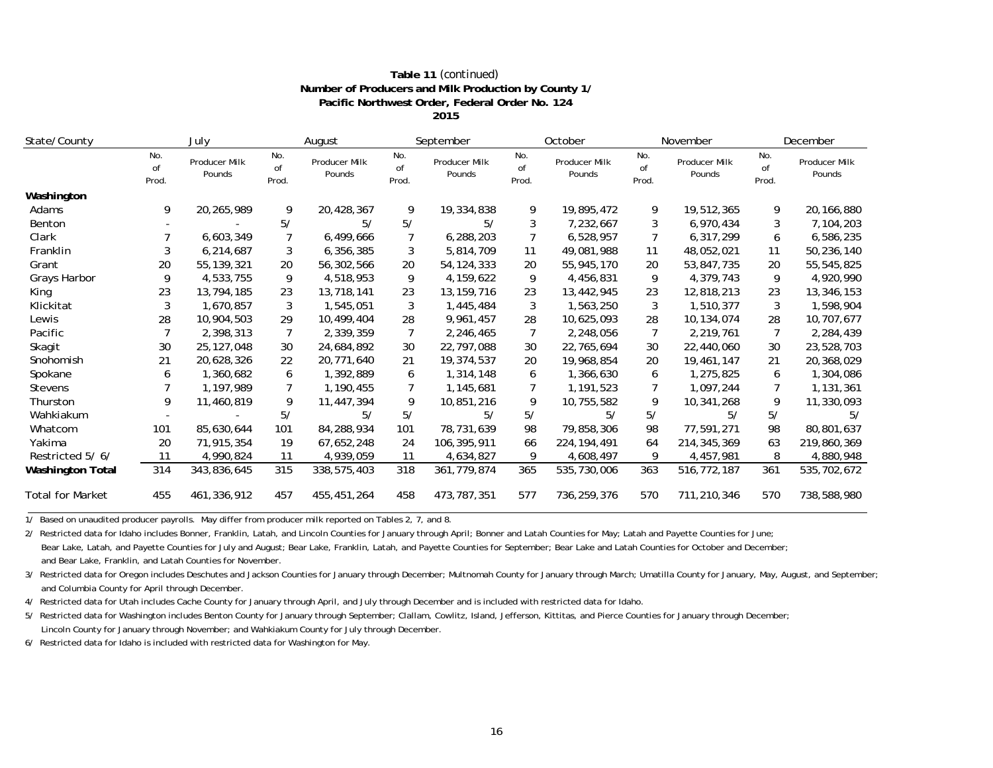| Table 11 (continued)                                 |
|------------------------------------------------------|
| Number of Producers and Milk Production by County 1/ |
| Pacific Northwest Order, Federal Order No. 124       |
| 2015                                                 |

| State/County            |                    | July                           |                    | August                  |                    | September               |                    | October                 |                    | November                | December           |                         |
|-------------------------|--------------------|--------------------------------|--------------------|-------------------------|--------------------|-------------------------|--------------------|-------------------------|--------------------|-------------------------|--------------------|-------------------------|
|                         | No.<br>of<br>Prod. | <b>Producer Milk</b><br>Pounds | No.<br>of<br>Prod. | Producer Milk<br>Pounds | No.<br>of<br>Prod. | Producer Milk<br>Pounds | No.<br>of<br>Prod. | Producer Milk<br>Pounds | No.<br>of<br>Prod. | Producer Milk<br>Pounds | No.<br>of<br>Prod. | Producer Milk<br>Pounds |
| Washington              |                    |                                |                    |                         |                    |                         |                    |                         |                    |                         |                    |                         |
| Adams                   | 9                  | 20,265,989                     | 9                  | 20,428,367              | 9                  | 19,334,838              | 9                  | 19,895,472              | 9                  | 19,512,365              | 9                  | 20,166,880              |
| Benton                  |                    |                                | 5/                 | 5/                      | 5/                 | 5/                      | 3                  | 7,232,667               | 3                  | 6,970,434               | 3                  | 7,104,203               |
| Clark                   |                    | 6,603,349                      |                    | 6,499,666               | $\overline{7}$     | 6,288,203               |                    | 6,528,957               |                    | 6,317,299               | 6                  | 6,586,235               |
| Franklin                | 3                  | 6,214,687                      | 3                  | 6,356,385               | 3                  | 5,814,709               | 11                 | 49,081,988              | 11                 | 48,052,021              | 11                 | 50,236,140              |
| Grant                   | 20                 | 55, 139, 321                   | 20                 | 56,302,566              | 20                 | 54, 124, 333            | 20                 | 55,945,170              | 20                 | 53,847,735              | 20                 | 55,545,825              |
| Grays Harbor            | 9                  | 4,533,755                      | 9                  | 4,518,953               | 9                  | 4,159,622               | 9                  | 4,456,831               | 9                  | 4,379,743               | 9                  | 4,920,990               |
| King                    | 23                 | 13,794,185                     | 23                 | 13,718,141              | 23                 | 13, 159, 716            | 23                 | 13,442,945              | 23                 | 12,818,213              | 23                 | 13,346,153              |
| Klickitat               | 3                  | 1,670,857                      | 3                  | 1,545,051               | 3                  | 1,445,484               | 3                  | 1,563,250               | 3                  | 1,510,377               | 3                  | 1,598,904               |
| Lewis                   | 28                 | 10,904,503                     | 29                 | 10,499,404              | 28                 | 9,961,457               | 28                 | 10,625,093              | 28                 | 10,134,074              | 28                 | 10,707,677              |
| Pacific                 |                    | 2,398,313                      |                    | 2,339,359               | $\overline{7}$     | 2,246,465               | 7                  | 2,248,056               |                    | 2,219,761               |                    | 2,284,439               |
| Skagit                  | 30                 | 25, 127, 048                   | 30                 | 24,684,892              | 30                 | 22,797,088              | 30                 | 22,765,694              | 30                 | 22,440,060              | 30                 | 23,528,703              |
| Snohomish               | 21                 | 20,628,326                     | 22                 | 20,771,640              | 21                 | 19,374,537              | 20                 | 19,968,854              | 20                 | 19,461,147              | 21                 | 20,368,029              |
| Spokane                 |                    | 1,360,682                      | 6                  | 1,392,889               | 6                  | 1,314,148               | 6                  | 1,366,630               | 6                  | 1,275,825               | 6                  | 1,304,086               |
| <b>Stevens</b>          |                    | 1,197,989                      |                    | 1,190,455               | 7                  | 1,145,681               |                    | 1,191,523               |                    | 1,097,244               |                    | 1,131,361               |
| Thurston                | 9                  | 11,460,819                     | 9                  | 11,447,394              | 9                  | 10,851,216              | 9                  | 10,755,582              | 9                  | 10,341,268              | 9                  | 11,330,093              |
| Wahkiakum               |                    |                                | 5/                 | 5/                      | 5/                 | 5/                      | 5/                 | 5/                      | 5/                 | 5/                      | 5/                 | 5/                      |
| Whatcom                 | 101                | 85,630,644                     | 101                | 84,288,934              | 101                | 78,731,639              | 98                 | 79,858,306              | 98                 | 77,591,271              | 98                 | 80,801,637              |
| Yakima                  | 20                 | 71,915,354                     | 19                 | 67,652,248              | 24                 | 106,395,911             | 66                 | 224, 194, 491           | 64                 | 214, 345, 369           | 63                 | 219,860,369             |
| Restricted 5/6/         | 11                 | 4,990,824                      | 11                 | 4,939,059               | 11                 | 4,634,827               | 9                  | 4,608,497               | 9                  | 4,457,981               | 8                  | 4,880,948               |
| <b>Washington Total</b> | 314                | 343,836,645                    | 315                | 338,575,403             | 318                | 361,779,874             | 365                | 535,730,006             | 363                | 516,772,187             | 361                | 535,702,672             |
| <b>Total for Market</b> | 455                | 461,336,912                    | 457                | 455,451,264             | 458                | 473,787,351             | 577                | 736,259,376             | 570                | 711,210,346             | 570                | 738,588,980             |

1/ Based on unaudited producer payrolls. May differ from producer milk reported on Tables 2, 7, and 8.

2/ Restricted data for Idaho includes Bonner, Franklin, Latah, and Lincoln Counties for January through April; Bonner and Latah Counties for May; Latah and Payette Counties for June;

 Bear Lake, Latah, and Payette Counties for July and August; Bear Lake, Franklin, Latah, and Payette Counties for September; Bear Lake and Latah Counties for October and December; and Bear Lake, Franklin, and Latah Counties for November.

3/ Restricted data for Oregon includes Deschutes and Jackson Counties for January through December; Multnomah County for January through March; Umatilla County for January, May, August, and September; and Columbia County for April through December.

4/ Restricted data for Utah includes Cache County for January through April, and July through December and is included with restricted data for Idaho.

5/ Restricted data for Washington includes Benton County for January through September; Clallam, Cowlitz, Island, Jefferson, Kittitas, and Pierce Counties for January through December; Lincoln County for January through November; and Wahkiakum County for July through December.

6/ Restricted data for Idaho is included with restricted data for Washington for May.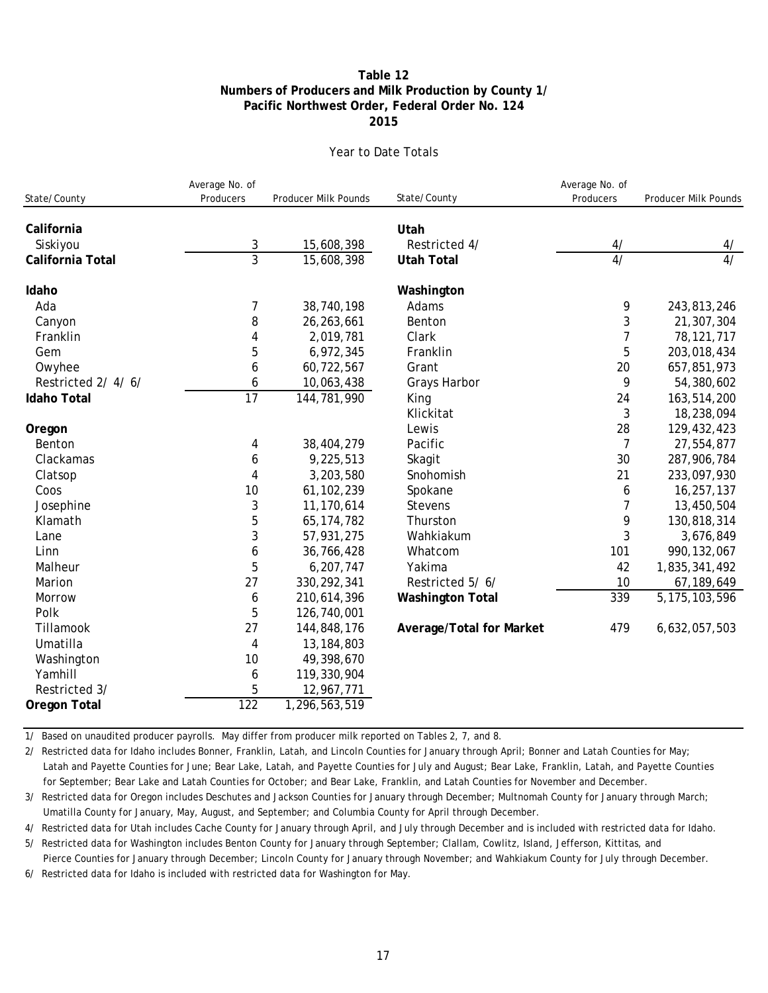### **Pacific Northwest Order, Federal Order No. 124 Numbers of Producers and Milk Production by County 1/ Table 12 2015**

#### Year to Date Totals

| State/County        | Average No. of<br>Producers | Producer Milk Pounds | State/County             | Average No. of<br>Producers | Producer Milk Pounds |
|---------------------|-----------------------------|----------------------|--------------------------|-----------------------------|----------------------|
|                     |                             |                      |                          |                             |                      |
| California          |                             |                      | Utah                     |                             |                      |
| Siskiyou            | 3                           | 15,608,398           | Restricted 4/            | 4/                          | 4/                   |
| California Total    | $\overline{3}$              | 15,608,398           | <b>Utah Total</b>        | $\overline{4/}$             | $\overline{4/}$      |
| Idaho               |                             |                      | Washington               |                             |                      |
| Ada                 | 7                           | 38,740,198           | Adams                    | 9                           | 243,813,246          |
| Canyon              | 8                           | 26,263,661           | Benton                   | 3                           | 21,307,304           |
| Franklin            | 4                           | 2,019,781            | Clark                    | 7                           | 78, 121, 717         |
| Gem                 | 5                           | 6,972,345            | Franklin                 | 5                           | 203,018,434          |
| Owyhee              | 6                           | 60,722,567           | Grant                    | 20                          | 657,851,973          |
| Restricted 2/4/6/   | 6                           | 10,063,438           | Grays Harbor             | 9                           | 54,380,602           |
| <b>Idaho Total</b>  | $\overline{17}$             | 144,781,990          | King                     | 24                          | 163,514,200          |
|                     |                             |                      | Klickitat                | 3                           | 18,238,094           |
| Oregon              |                             |                      | Lewis                    | 28                          | 129,432,423          |
| Benton              | 4                           | 38,404,279           | Pacific                  | $\overline{7}$              | 27,554,877           |
| Clackamas           | 6                           | 9,225,513            | Skagit                   | 30                          | 287,906,784          |
| Clatsop             | 4                           | 3,203,580            | Snohomish                | 21                          | 233,097,930          |
| Coos                | 10                          | 61, 102, 239         | Spokane                  | 6                           | 16,257,137           |
| Josephine           | 3                           | 11,170,614           | <b>Stevens</b>           | 7                           | 13,450,504           |
| Klamath             | 5                           | 65, 174, 782         | Thurston                 | 9                           | 130,818,314          |
| Lane                | 3                           | 57,931,275           | Wahkiakum                | 3                           | 3,676,849            |
| Linn                | 6                           | 36,766,428           | Whatcom                  | 101                         | 990, 132, 067        |
| Malheur             | 5                           | 6,207,747            | Yakima                   | 42                          | 1,835,341,492        |
| Marion              | 27                          | 330, 292, 341        | Restricted 5/6/          | 10                          | 67,189,649           |
| Morrow              | 6                           | 210,614,396          | <b>Washington Total</b>  | 339                         | 5, 175, 103, 596     |
| Polk                | 5                           | 126,740,001          |                          |                             |                      |
| Tillamook           | 27                          | 144,848,176          | Average/Total for Market | 479                         | 6,632,057,503        |
| Umatilla            | 4                           | 13, 184, 803         |                          |                             |                      |
| Washington          | 10                          | 49,398,670           |                          |                             |                      |
| Yamhill             | 6                           | 119,330,904          |                          |                             |                      |
| Restricted 3/       | 5                           | 12,967,771           |                          |                             |                      |
| <b>Oregon Total</b> | $\overline{122}$            | 1,296,563,519        |                          |                             |                      |

1/ Based on unaudited producer payrolls. May differ from producer milk reported on Tables 2, 7, and 8.

2/ Restricted data for Idaho includes Bonner, Franklin, Latah, and Lincoln Counties for January through April; Bonner and Latah Counties for May; Latah and Payette Counties for June; Bear Lake, Latah, and Payette Counties for July and August; Bear Lake, Franklin, Latah, and Payette Counties for September; Bear Lake and Latah Counties for October; and Bear Lake, Franklin, and Latah Counties for November and December.

3/ Restricted data for Oregon includes Deschutes and Jackson Counties for January through December; Multnomah County for January through March; Umatilla County for January, May, August, and September; and Columbia County for April through December.

4/ Restricted data for Utah includes Cache County for January through April, and July through December and is included with restricted data for Idaho.

5/ Restricted data for Washington includes Benton County for January through September; Clallam, Cowlitz, Island, Jefferson, Kittitas, and Pierce Counties for January through December; Lincoln County for January through November; and Wahkiakum County for July through December.

6/ Restricted data for Idaho is included with restricted data for Washington for May.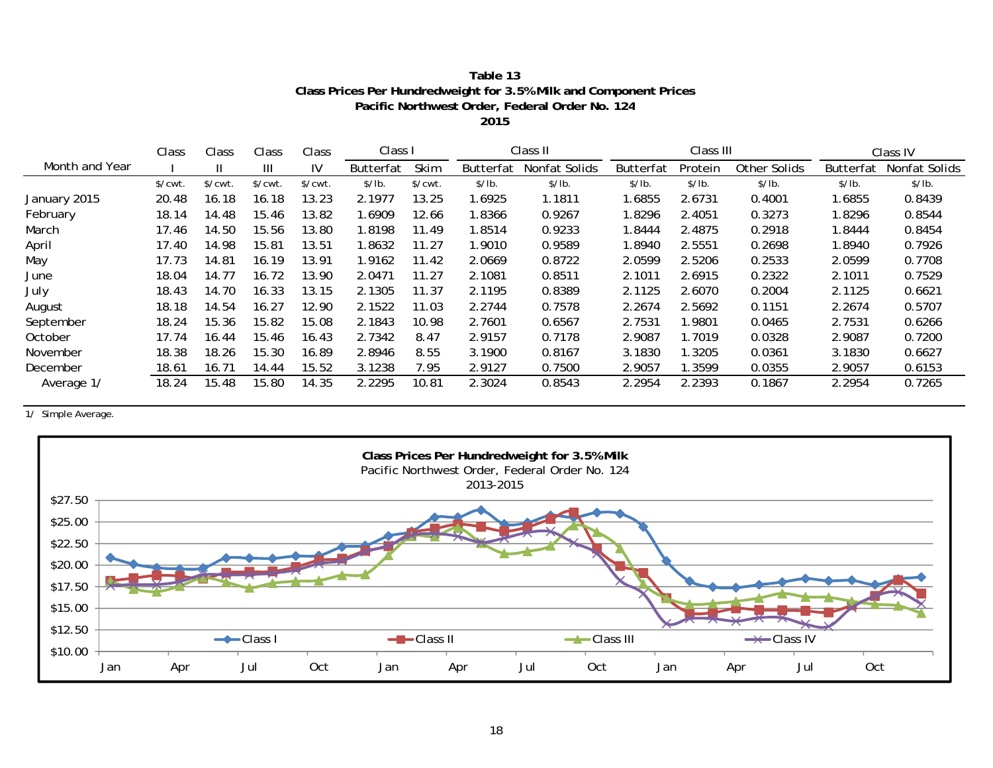| Table 13                                                          |
|-------------------------------------------------------------------|
| Class Prices Per Hundredweight for 3.5% Milk and Component Prices |
| Pacific Northwest Order, Federal Order No. 124                    |
|                                                                   |

**2015**

|                | Class                 | Class                 | Class                 | Class                 | Class I   |             |                  | Class II      |                  | Class III |              |                  | Class IV      |  |
|----------------|-----------------------|-----------------------|-----------------------|-----------------------|-----------|-------------|------------------|---------------|------------------|-----------|--------------|------------------|---------------|--|
| Month and Year |                       | $\mathbf{H}$          | $\mathbf{III}$        | IV                    | Butterfat | Skim        | <b>Butterfat</b> | Nonfat Solids | <b>Butterfat</b> | Protein   | Other Solids | <b>Butterfat</b> | Nonfat Solids |  |
|                | $\sqrt{\text{cwt}}$ . | $\sqrt{\text{cwt}}$ . | $\sqrt{\text{cwt}}$ . | $\sqrt{\text{cwt}}$ . | \$/lb.    | $$/$ $cut.$ | \$/lb.           | \$/lb.        | \$/lb.           | \$/lb.    | \$/lb.       | \$/lb.           | \$/lb.        |  |
| January 2015   | 20.48                 | 16.18                 | 16.18                 | 13.23                 | 2.1977    | 13.25       | 1.6925           | 1.1811        | 1.6855           | 2.6731    | 0.4001       | 1.6855           | 0.8439        |  |
| February       | 18.14                 | 14.48                 | 15.46                 | 13.82                 | .6909     | 12.66       | 1.8366           | 0.9267        | l.8296           | 2.4051    | 0.3273       | 1.8296           | 0.8544        |  |
| March          | 17.46                 | 14.50                 | 15.56                 | 13.80                 | 1.8198    | 11.49       | 1.8514           | 0.9233        | 1.8444           | 2.4875    | 0.2918       | 1.8444           | 0.8454        |  |
| April          | 17.40                 | 14.98                 | 15.81                 | 13.51                 | .8632     | 11.27       | 1.9010           | 0.9589        | 1.8940           | 2.5551    | 0.2698       | 1.8940           | 0.7926        |  |
| May            | 17.73                 | 14.81                 | 16.19                 | 13.91                 | 1.9162    | 11.42       | 2.0669           | 0.8722        | 2.0599           | 2.5206    | 0.2533       | 2.0599           | 0.7708        |  |
| June           | 18.04                 | 14.77                 | 16.72                 | 13.90                 | 2.0471    | 11.27       | 2.1081           | 0.8511        | 2.1011           | 2.6915    | 0.2322       | 2.1011           | 0.7529        |  |
| July           | 18.43                 | 14.70                 | 16.33                 | 13.15                 | 2.1305    | 11.37       | 2.1195           | 0.8389        | 2.1125           | 2.6070    | 0.2004       | 2.1125           | 0.6621        |  |
| August         | 18.18                 | 14.54                 | 16.27                 | 12.90                 | 2.1522    | 11.03       | 2.2744           | 0.7578        | 2.2674           | 2.5692    | 0.1151       | 2.2674           | 0.5707        |  |
| September      | 18.24                 | 15.36                 | 15.82                 | 15.08                 | 2.1843    | 10.98       | 2.7601           | 0.6567        | 2.7531           | 1.9801    | 0.0465       | 2.7531           | 0.6266        |  |
| October        | 17.74                 | 16.44                 | 15.46                 | 16.43                 | 2.7342    | 8.47        | 2.9157           | 0.7178        | 2.9087           | 1.7019    | 0.0328       | 2.9087           | 0.7200        |  |
| November       | 18.38                 | 18.26                 | 15.30                 | 16.89                 | 2.8946    | 8.55        | 3.1900           | 0.8167        | 3.1830           | 1.3205    | 0.0361       | 3.1830           | 0.6627        |  |
| December       | 18.61                 | 16.71                 | 14.44                 | 15.52                 | 3.1238    | 7.95        | 2.9127           | 0.7500        | 2.9057           | 1.3599    | 0.0355       | 2.9057           | 0.6153        |  |
| Average 1/     | 18.24                 | 15.48                 | 15.80                 | 14.35                 | 2.2295    | 10.81       | 2.3024           | 0.8543        | 2.2954           | 2.2393    | 0.1867       | 2.2954           | 0.7265        |  |

1/ Simple Average.

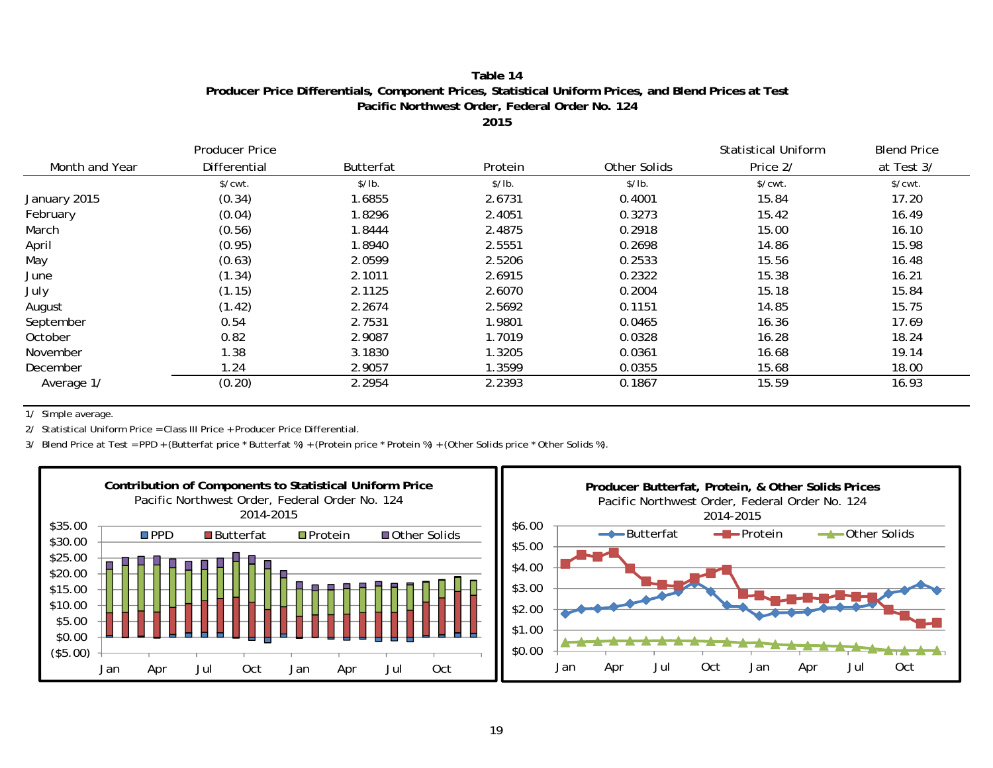### **Table 14Producer Price Differentials, Component Prices, Statistical Uniform Prices, and Blend Prices at Test Pacific Northwest Order, Federal Order No. 124**

**2015**

|                | Producer Price        | <b>Butterfat</b> | Protein | Other Solids | <b>Statistical Uniform</b><br>Price 2/ | <b>Blend Price</b><br>at Test 3/ |
|----------------|-----------------------|------------------|---------|--------------|----------------------------------------|----------------------------------|
| Month and Year | Differential          |                  |         |              |                                        |                                  |
|                | $\sqrt{\text{cwt}}$ . | \$/lb.           | \$/lb.  | \$/lb.       | $\sqrt{\text{cwt}}$ .                  | $\sqrt{\text{cwt}}$ .            |
| January 2015   | (0.34)                | 1.6855           | 2.6731  | 0.4001       | 15.84                                  | 17.20                            |
| February       | (0.04)                | 1.8296           | 2.4051  | 0.3273       | 15.42                                  | 16.49                            |
| March          | (0.56)                | 1.8444           | 2.4875  | 0.2918       | 15.00                                  | 16.10                            |
| April          | (0.95)                | 1.8940           | 2.5551  | 0.2698       | 14.86                                  | 15.98                            |
| May            | (0.63)                | 2.0599           | 2.5206  | 0.2533       | 15.56                                  | 16.48                            |
| June           | (1.34)                | 2.1011           | 2.6915  | 0.2322       | 15.38                                  | 16.21                            |
| July           | (1.15)                | 2.1125           | 2.6070  | 0.2004       | 15.18                                  | 15.84                            |
| August         | (1.42)                | 2.2674           | 2.5692  | 0.1151       | 14.85                                  | 15.75                            |
| September      | 0.54                  | 2.7531           | 1.9801  | 0.0465       | 16.36                                  | 17.69                            |
| October        | 0.82                  | 2.9087           | 1.7019  | 0.0328       | 16.28                                  | 18.24                            |
| November       | 1.38                  | 3.1830           | 1.3205  | 0.0361       | 16.68                                  | 19.14                            |
| December       | 1.24                  | 2.9057           | 1.3599  | 0.0355       | 15.68                                  | 18.00                            |
| Average 1/     | (0.20)                | 2.2954           | 2.2393  | 0.1867       | 15.59                                  | 16.93                            |

1/ Simple average.

2/ Statistical Uniform Price = Class III Price + Producer Price Differential.

3/ Blend Price at Test = PPD + (Butterfat price \* Butterfat %) + (Protein price \* Protein %) + (Other Solids price \* Other Solids %).

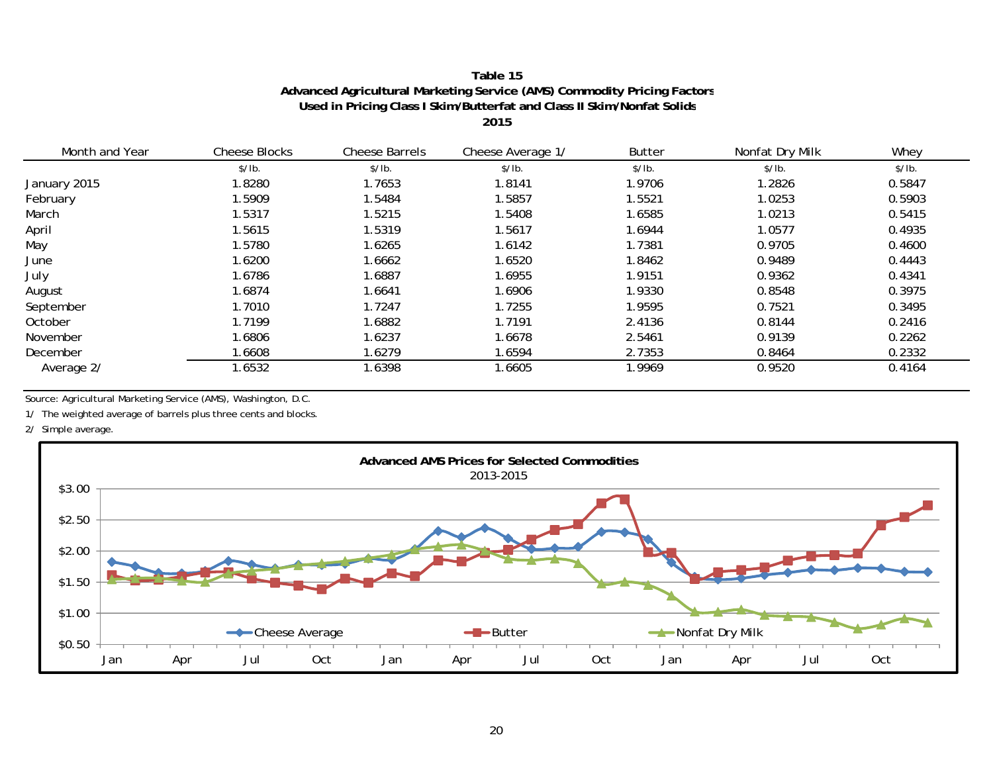## **Table 15Advanced Agricultural Marketing Service (AMS) Commodity Pricing Factors Used in Pricing Class I Skim/Butterfat and Class II Skim/Nonfat Solid s**

**2015**

| Month and Year | <b>Cheese Blocks</b> | <b>Cheese Barrels</b> | Cheese Average 1/ | <b>Butter</b> | Nonfat Dry Milk | Whey   |
|----------------|----------------------|-----------------------|-------------------|---------------|-----------------|--------|
|                | \$/lb.               | \$/lb.                | \$/lb.            | \$/lb.        | \$/lb.          | \$/lb. |
| January 2015   | 1.8280               | 1.7653                | 1.8141            | 1.9706        | 1.2826          | 0.5847 |
| February       | 1.5909               | 1.5484                | .5857             | 1.5521        | 1.0253          | 0.5903 |
| March          | 1.5317               | 1.5215                | .5408             | 1.6585        | 1.0213          | 0.5415 |
| April          | 1.5615               | 1.5319                | .5617             | 1.6944        | 1.0577          | 0.4935 |
| May            | 1.5780               | 1.6265                | .6142             | 1.7381        | 0.9705          | 0.4600 |
| June           | 1.6200               | 1.6662                | 1.6520            | 1.8462        | 0.9489          | 0.4443 |
| July           | 1.6786               | 1.6887                | .6955             | 1.9151        | 0.9362          | 0.4341 |
| August         | 1.6874               | 1.6641                | .6906             | 1.9330        | 0.8548          | 0.3975 |
| September      | 1.7010               | 1.7247                | 1.7255            | 1.9595        | 0.7521          | 0.3495 |
| October        | 1.7199               | 1.6882                | .7191             | 2.4136        | 0.8144          | 0.2416 |
| November       | 1.6806               | 1.6237                | 1.6678            | 2.5461        | 0.9139          | 0.2262 |
| December       | 1.6608               | 1.6279                | 1.6594            | 2.7353        | 0.8464          | 0.2332 |
| Average 2/     | 1.6532               | 1.6398                | .6605             | 1.9969        | 0.9520          | 0.4164 |

Source: Agricultural Marketing Service (AMS), Washington, D.C.

1/ The weighted average of barrels plus three cents and blocks.

2/ Simple average.

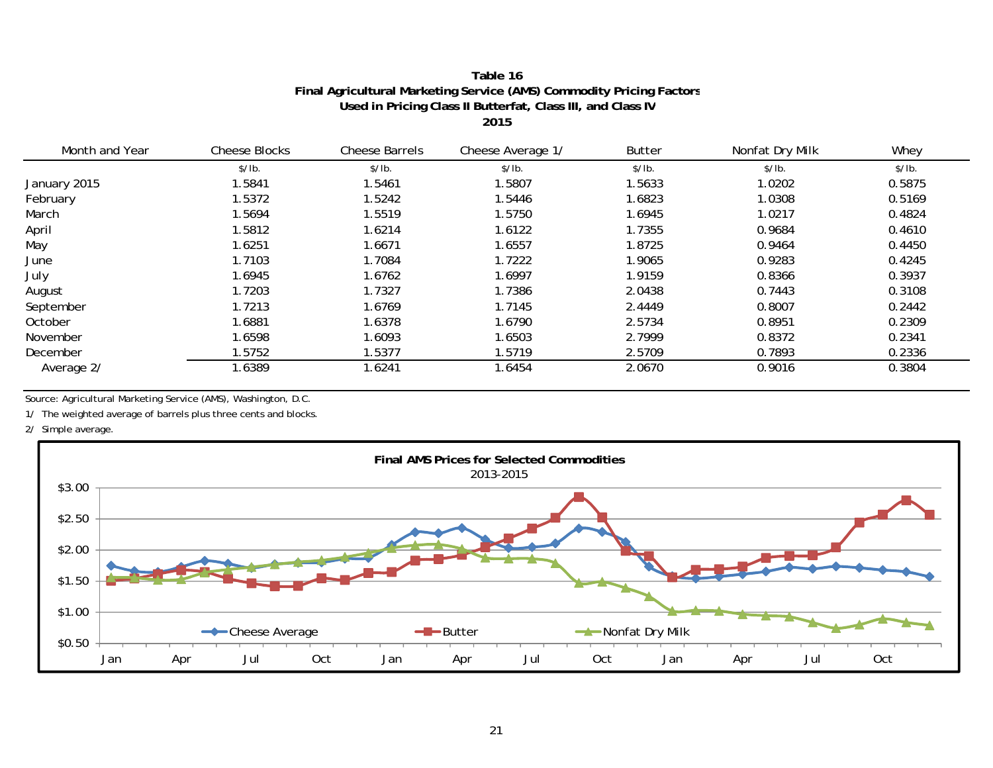#### **Table 16Final Agricultural Marketing Service (AMS) Commodity Pricing Factor s Used in Pricing Class II Butterfat, Class III, and Class I V2015**

\$/lb. \$/lb. \$/lb. \$/lb. \$/lb. \$/lb. January 2015 1.5841 1.5461 1.5807 1.5633 1.0202 0.5875 February 1.5372 1.5242 1.5446 1.6823 1.0308 0.5169 March 1.5694 1.5519 1.5750 1.6945 1.0217 0.4824April 1.5812 1.6214 1.6122 1.7355 0.9684 0.4610 May 1.6251 1.6671 1.6557 1.8725 0.9464 0.4450 June 1.7103 1.7084 1.7222 1.9065 0.9283 0.4245July 1.6945 1.6762 1.6997 1.9159 0.8366 0.3937 August 1.7203 1.7327 1.7386 2.0438 0.7443 0.3108 September 1.7213 1.6769 1.7145 2.4449 0.8007 0.2442 **October** r 1.6881 1.6378 1.6790 2.5734 0.8951 0.2309 November 1.6598 1.6093 1.6503 2.7999 0.8372 0.2341Decemberr 1.5752 1.5377 1.5719 2.5709 0.7893 0.2336 Average 2/ 1.6389 1.6241 1.6454 2.0670 0.9016 0.3804 Whey Month and Year Cheese Blocks Cheese Barrels Cheese Average 1/ Butter Nonfat Dry Milk

Source: Agricultural Marketing Service (AMS), Washington, D.C.

1/ The weighted average of barrels plus three cents and blocks.

2/ Simple average.

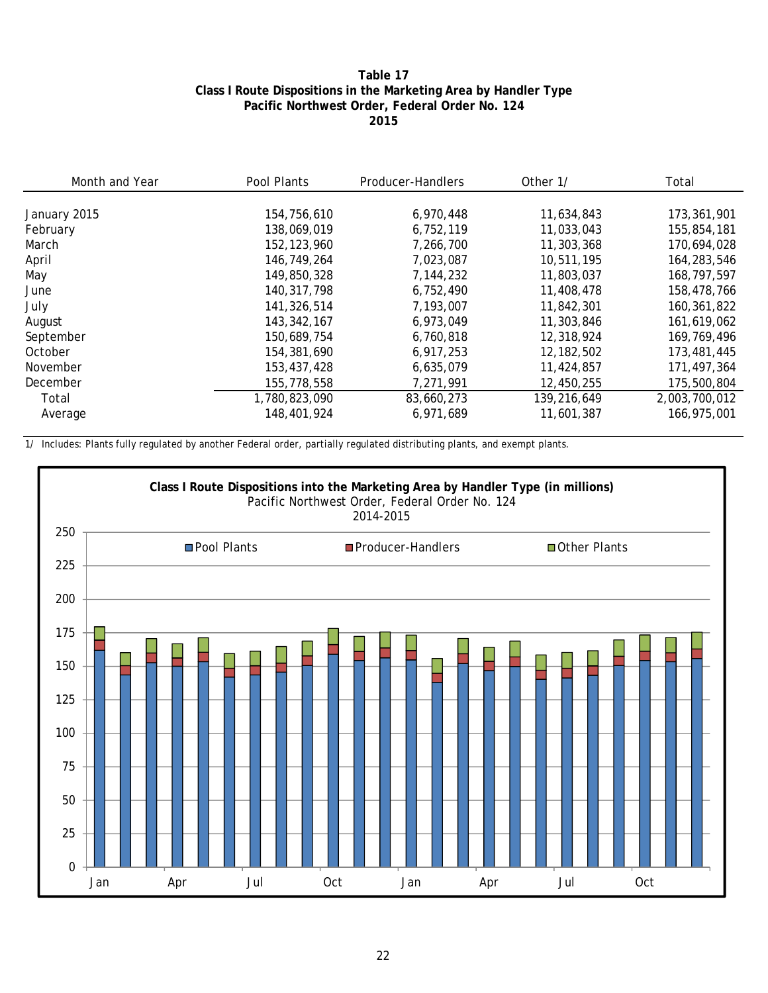#### **Table 17 Class I Route Dispositions in the Marketing Area by Handler Type Pacific Northwest Order, Federal Order No. 124 2015**

| Month and Year | Pool Plants   | Producer-Handlers | Other 1/     | Total         |  |
|----------------|---------------|-------------------|--------------|---------------|--|
|                |               |                   |              |               |  |
| January 2015   | 154,756,610   | 6,970,448         | 11,634,843   | 173,361,901   |  |
| February       | 138,069,019   | 6,752,119         | 11,033,043   | 155,854,181   |  |
| March          | 152, 123, 960 | 7,266,700         | 11,303,368   | 170,694,028   |  |
| April          | 146.749.264   | 7,023,087         | 10,511,195   | 164,283,546   |  |
| May            | 149,850,328   | 7,144,232         | 11,803,037   | 168,797,597   |  |
| June           | 140.317.798   | 6,752,490         | 11,408,478   | 158,478,766   |  |
| July           | 141,326,514   | 7,193,007         | 11,842,301   | 160,361,822   |  |
| August         | 143, 342, 167 | 6,973,049         | 11,303,846   | 161,619,062   |  |
| September      | 150.689.754   | 6,760,818         | 12,318,924   | 169.769.496   |  |
| October        | 154,381,690   | 6,917,253         | 12, 182, 502 | 173,481,445   |  |
| November       | 153,437,428   | 6,635,079         | 11,424,857   | 171,497,364   |  |
| December       | 155,778,558   | 7,271,991         | 12,450,255   | 175,500,804   |  |
| Total          | 1,780,823,090 | 83,660,273        | 139,216,649  | 2,003,700,012 |  |
| Average        | 148,401,924   | 6,971,689         | 11,601,387   | 166,975,001   |  |

1/ Includes: Plants fully regulated by another Federal order, partially regulated distributing plants, and exempt plants.

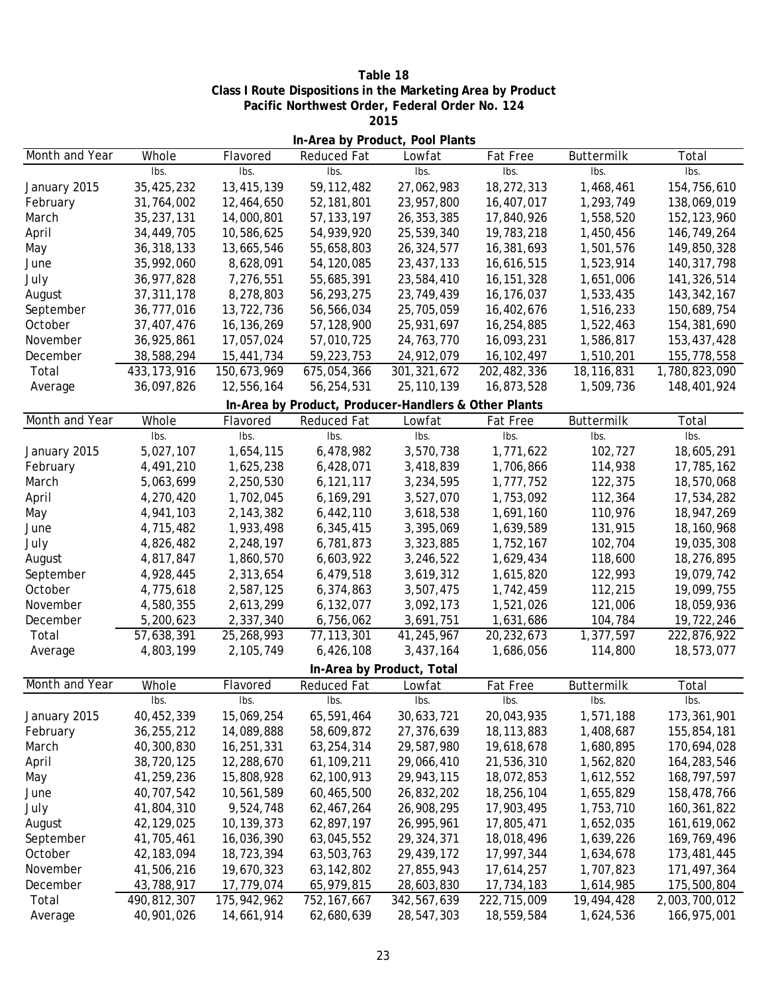**Table 18 Class I Route Dispositions in the Marketing Area by Product Pacific Northwest Order, Federal Order No. 124 2015**

| In-Area by Product, Pool Plants |               |             |                                                      |                           |              |            |               |
|---------------------------------|---------------|-------------|------------------------------------------------------|---------------------------|--------------|------------|---------------|
| Month and Year                  | Whole         | Flavored    | Reduced Fat                                          | Lowfat                    | Fat Free     | Buttermilk | Total         |
|                                 | Ibs.          | Ibs.        | Ibs.                                                 | Ibs.                      | Ibs.         | Ibs.       | Ibs.          |
| January 2015                    | 35,425,232    | 13,415,139  | 59, 112, 482                                         | 27,062,983                | 18,272,313   | 1,468,461  | 154,756,610   |
| February                        | 31,764,002    | 12,464,650  | 52,181,801                                           | 23,957,800                | 16,407,017   | 1,293,749  | 138,069,019   |
| March                           | 35,237,131    | 14,000,801  | 57, 133, 197                                         | 26, 353, 385              | 17,840,926   | 1,558,520  | 152, 123, 960 |
| April                           | 34,449,705    | 10,586,625  | 54,939,920                                           | 25,539,340                | 19,783,218   | 1,450,456  | 146,749,264   |
| May                             | 36,318,133    | 13,665,546  | 55,658,803                                           | 26,324,577                | 16,381,693   | 1,501,576  | 149,850,328   |
| June                            | 35,992,060    | 8,628,091   | 54,120,085                                           | 23,437,133                | 16,616,515   | 1,523,914  | 140, 317, 798 |
| July                            | 36, 977, 828  | 7,276,551   | 55,685,391                                           | 23,584,410                | 16, 151, 328 | 1,651,006  | 141,326,514   |
| August                          | 37, 311, 178  | 8,278,803   | 56,293,275                                           | 23,749,439                | 16,176,037   | 1,533,435  | 143, 342, 167 |
| September                       | 36,777,016    | 13,722,736  | 56,566,034                                           | 25,705,059                | 16,402,676   | 1,516,233  | 150,689,754   |
| October                         | 37,407,476    | 16,136,269  | 57,128,900                                           | 25,931,697                | 16,254,885   | 1,522,463  | 154,381,690   |
| November                        | 36,925,861    | 17,057,024  | 57,010,725                                           | 24,763,770                | 16,093,231   | 1,586,817  | 153,437,428   |
| December                        | 38,588,294    | 15,441,734  | 59,223,753                                           | 24,912,079                | 16, 102, 497 | 1,510,201  | 155,778,558   |
| Total                           | 433, 173, 916 | 150,673,969 | 675,054,366                                          | 301, 321, 672             | 202,482,336  | 18,116,831 | 1,780,823,090 |
| Average                         | 36,097,826    | 12,556,164  | 56,254,531                                           | 25, 110, 139              | 16,873,528   | 1,509,736  | 148,401,924   |
|                                 |               |             | In-Area by Product, Producer-Handlers & Other Plants |                           |              |            |               |
| Month and Year                  | Whole         | Flavored    | <b>Reduced Fat</b>                                   | Lowfat                    | Fat Free     | Buttermilk | Total         |
|                                 | Ibs.          | Ibs.        | Ibs.                                                 | Ibs.                      | Ibs.         | Ibs.       | Ibs.          |
| January 2015                    | 5,027,107     | 1,654,115   | 6,478,982                                            | 3,570,738                 | 1,771,622    | 102,727    | 18,605,291    |
| February                        | 4,491,210     | 1,625,238   | 6,428,071                                            | 3,418,839                 | 1,706,866    | 114,938    | 17,785,162    |
| March                           | 5,063,699     | 2,250,530   | 6,121,117                                            | 3,234,595                 | 1,777,752    | 122,375    | 18,570,068    |
| April                           | 4,270,420     | 1,702,045   | 6,169,291                                            | 3,527,070                 | 1,753,092    | 112,364    | 17,534,282    |
| May                             | 4,941,103     | 2,143,382   | 6,442,110                                            | 3,618,538                 | 1,691,160    | 110,976    | 18,947,269    |
| June                            | 4,715,482     | 1,933,498   | 6,345,415                                            | 3,395,069                 | 1,639,589    | 131,915    | 18,160,968    |
|                                 | 4,826,482     | 2,248,197   | 6,781,873                                            | 3,323,885                 | 1,752,167    | 102,704    | 19,035,308    |
| July                            | 4,817,847     | 1,860,570   | 6,603,922                                            | 3,246,522                 | 1,629,434    | 118,600    | 18,276,895    |
| August                          | 4,928,445     | 2,313,654   | 6,479,518                                            |                           | 1,615,820    |            |               |
| September                       |               |             |                                                      | 3,619,312                 |              | 122,993    | 19,079,742    |
| October                         | 4,775,618     | 2,587,125   | 6,374,863                                            | 3,507,475                 | 1,742,459    | 112,215    | 19,099,755    |
| November                        | 4,580,355     | 2,613,299   | 6,132,077                                            | 3,092,173                 | 1,521,026    | 121,006    | 18,059,936    |
| December                        | 5,200,623     | 2,337,340   | 6,756,062                                            | 3,691,751                 | 1,631,686    | 104,784    | 19,722,246    |
| Total                           | 57,638,391    | 25,268,993  | 77, 113, 301                                         | 41,245,967                | 20,232,673   | 1,377,597  | 222,876,922   |
| Average                         | 4,803,199     | 2,105,749   | 6,426,108                                            | 3,437,164                 | 1,686,056    | 114,800    | 18,573,077    |
|                                 |               |             |                                                      | In-Area by Product, Total |              |            |               |
| Month and Year                  | Whole         | Flavored    | Reduced Fat                                          | Lowfat                    | Fat Free     | Buttermilk | Total         |
|                                 | Ibs.          | lbs.        | Ibs.                                                 | lbs.                      | lbs.         | Ibs.       | Ibs.          |
| January 2015                    | 40,452,339    | 15,069,254  | 65,591,464                                           | 30,633,721                | 20,043,935   | 1,571,188  | 173,361,901   |
| February                        | 36,255,212    | 14,089,888  | 58,609,872                                           | 27,376,639                | 18,113,883   | 1,408,687  | 155,854,181   |
| March                           | 40,300,830    | 16,251,331  | 63,254,314                                           | 29,587,980                | 19,618,678   | 1,680,895  | 170,694,028   |
| April                           | 38,720,125    | 12,288,670  | 61,109,211                                           | 29,066,410                | 21,536,310   | 1,562,820  | 164,283,546   |
| May                             | 41,259,236    | 15,808,928  | 62,100,913                                           | 29,943,115                | 18,072,853   | 1,612,552  | 168, 797, 597 |
| June                            | 40,707,542    | 10,561,589  | 60,465,500                                           | 26,832,202                | 18,256,104   | 1,655,829  | 158,478,766   |
| July                            | 41,804,310    | 9,524,748   | 62,467,264                                           | 26,908,295                | 17,903,495   | 1,753,710  | 160, 361, 822 |
| August                          | 42,129,025    | 10,139,373  | 62,897,197                                           | 26,995,961                | 17,805,471   | 1,652,035  | 161,619,062   |
| September                       | 41,705,461    | 16,036,390  | 63,045,552                                           | 29,324,371                | 18,018,496   | 1,639,226  | 169,769,496   |
| October                         | 42, 183, 094  | 18,723,394  | 63,503,763                                           | 29,439,172                | 17,997,344   | 1,634,678  | 173,481,445   |
| November                        | 41,506,216    | 19,670,323  | 63, 142, 802                                         | 27,855,943                | 17,614,257   | 1,707,823  | 171,497,364   |
| December                        | 43,788,917    | 17,779,074  | 65,979,815                                           | 28,603,830                | 17,734,183   | 1,614,985  | 175,500,804   |
| Total                           | 490,812,307   | 175,942,962 | 752, 167, 667                                        | 342,567,639               | 222,715,009  | 19,494,428 | 2,003,700,012 |
| Average                         | 40,901,026    | 14,661,914  | 62,680,639                                           | 28,547,303                | 18,559,584   | 1,624,536  | 166,975,001   |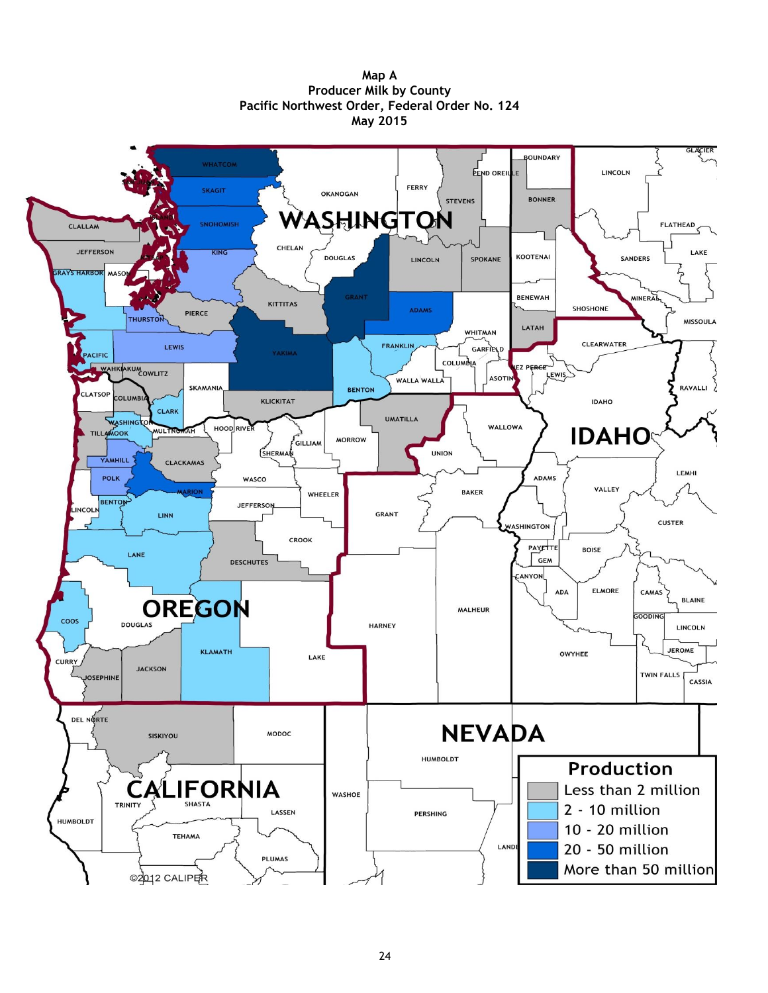**Map A Producer Milk by County Pacific Northwest Order, Federal Order No. 124 May 2015**